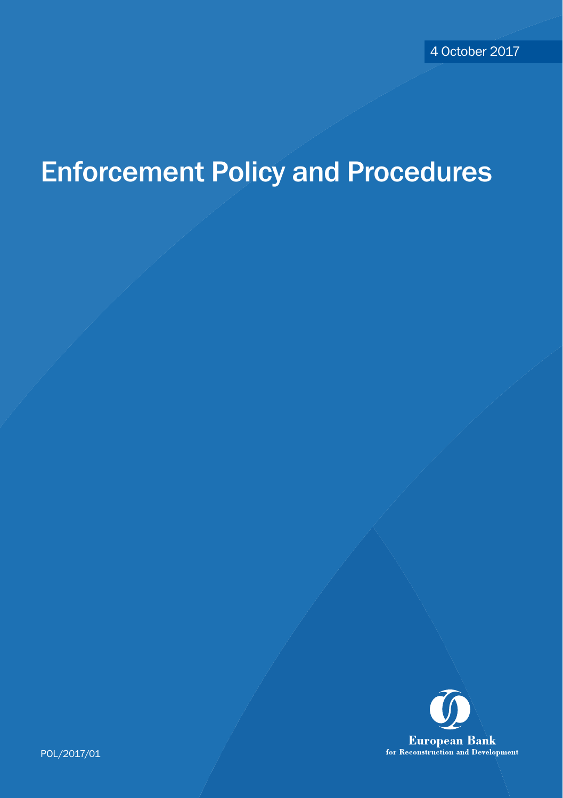# Enforcement Policy and Procedures



POL/2017/01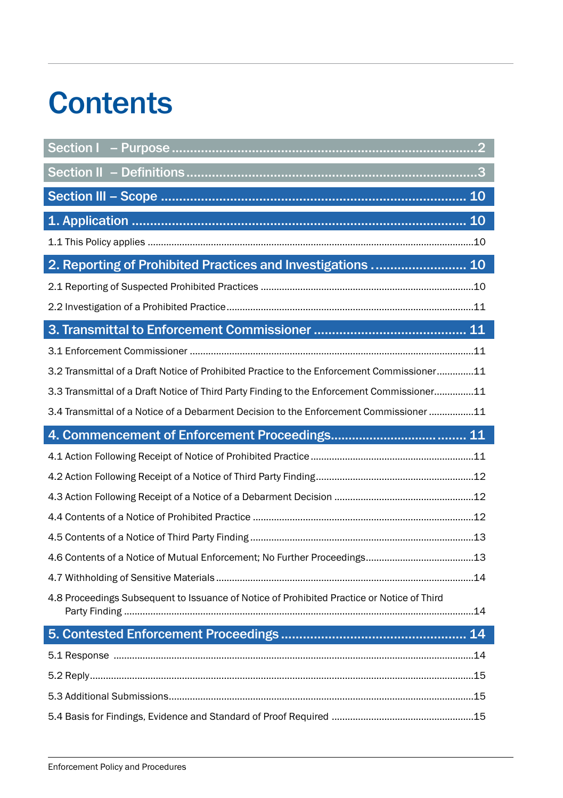# **Contents**

| 2. Reporting of Prohibited Practices and Investigations  10                                |
|--------------------------------------------------------------------------------------------|
|                                                                                            |
|                                                                                            |
|                                                                                            |
|                                                                                            |
| 3.2 Transmittal of a Draft Notice of Prohibited Practice to the Enforcement Commissioner11 |
| 3.3 Transmittal of a Draft Notice of Third Party Finding to the Enforcement Commissioner11 |
| 3.4 Transmittal of a Notice of a Debarment Decision to the Enforcement Commissioner 11     |
|                                                                                            |
|                                                                                            |
|                                                                                            |
|                                                                                            |
|                                                                                            |
|                                                                                            |
|                                                                                            |
|                                                                                            |
|                                                                                            |
| 4.8 Proceedings Subsequent to Issuance of Notice of Prohibited Practice or Notice of Third |
|                                                                                            |
|                                                                                            |
|                                                                                            |
|                                                                                            |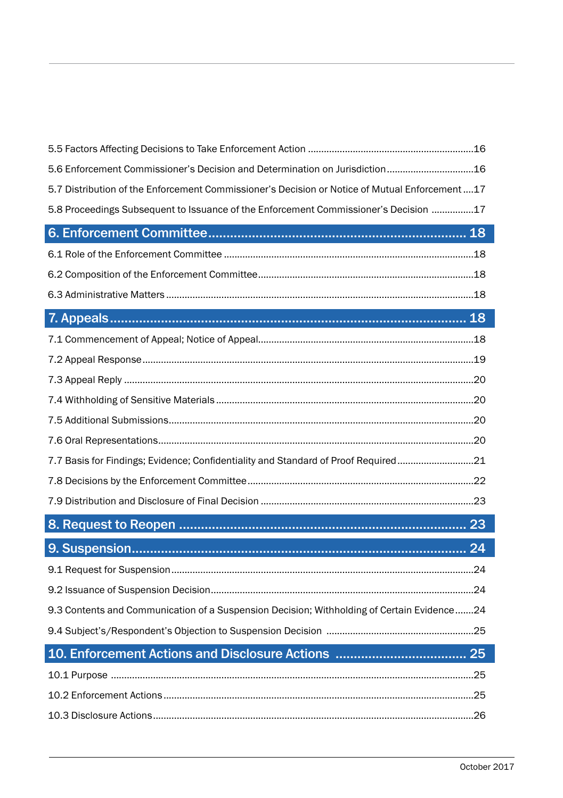| 5.6 Enforcement Commissioner's Decision and Determination on Jurisdiction 16                  |  |
|-----------------------------------------------------------------------------------------------|--|
| 5.7 Distribution of the Enforcement Commissioner's Decision or Notice of Mutual Enforcement17 |  |
| 5.8 Proceedings Subsequent to Issuance of the Enforcement Commissioner's Decision 17          |  |
|                                                                                               |  |
|                                                                                               |  |
|                                                                                               |  |
|                                                                                               |  |
|                                                                                               |  |
|                                                                                               |  |
|                                                                                               |  |
|                                                                                               |  |
|                                                                                               |  |
|                                                                                               |  |
|                                                                                               |  |
| 7.7 Basis for Findings; Evidence; Confidentiality and Standard of Proof Required21            |  |
|                                                                                               |  |
|                                                                                               |  |
|                                                                                               |  |
|                                                                                               |  |
|                                                                                               |  |
|                                                                                               |  |
| 9.3 Contents and Communication of a Suspension Decision; Withholding of Certain Evidence24    |  |
|                                                                                               |  |
|                                                                                               |  |
|                                                                                               |  |
|                                                                                               |  |
|                                                                                               |  |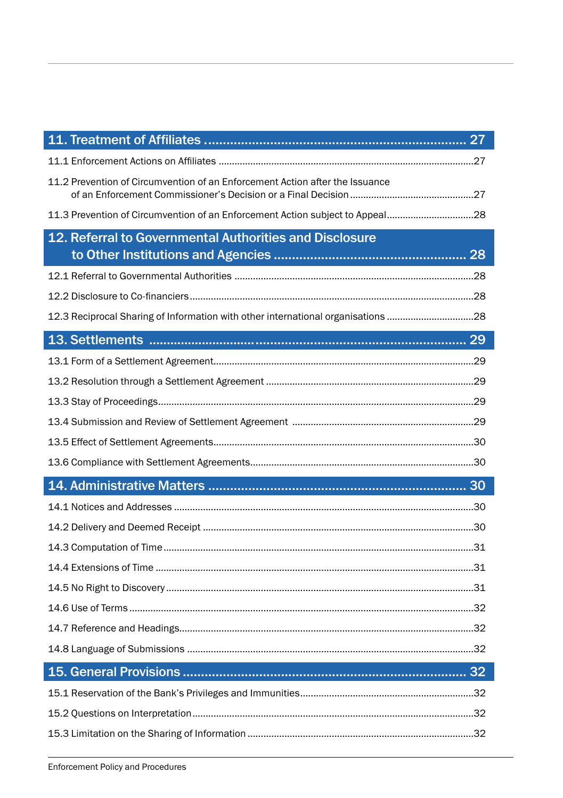| 11.2 Prevention of Circumvention of an Enforcement Action after the Issuance     |
|----------------------------------------------------------------------------------|
| 11.3 Prevention of Circumvention of an Enforcement Action subject to Appeal28    |
| 12. Referral to Governmental Authorities and Disclosure                          |
|                                                                                  |
|                                                                                  |
|                                                                                  |
| 12.3 Reciprocal Sharing of Information with other international organisations 28 |
|                                                                                  |
|                                                                                  |
|                                                                                  |
|                                                                                  |
|                                                                                  |
|                                                                                  |
|                                                                                  |
|                                                                                  |
|                                                                                  |
|                                                                                  |
|                                                                                  |
|                                                                                  |
|                                                                                  |
|                                                                                  |
|                                                                                  |
|                                                                                  |
|                                                                                  |
|                                                                                  |
|                                                                                  |
|                                                                                  |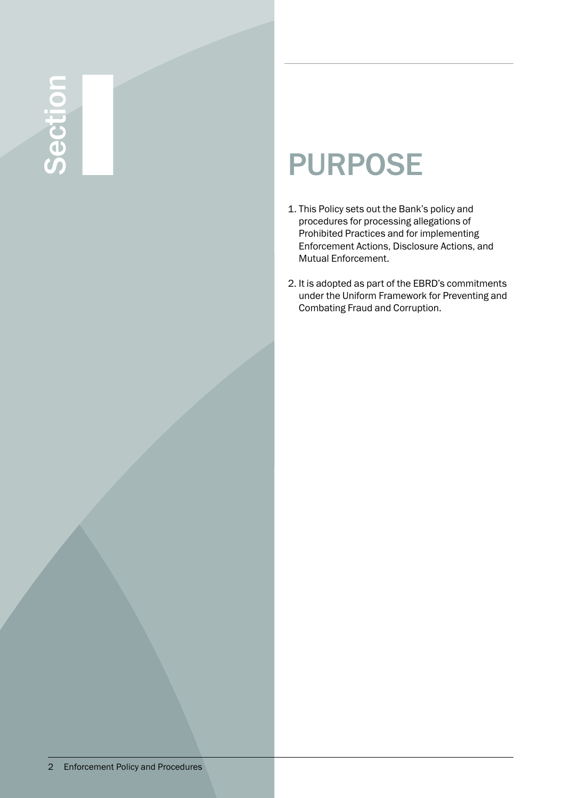# Section I PURPOSE

- 1. This Policy sets out the Bank's policy and procedures for processing allegations of Prohibited Practices and for implementing Enforcement Actions, Disclosure Actions, and Mutual Enforcement.
- 2. It is adopted as part of the EBRD's commitments under the Uniform Framework for Preventing and Combating Fraud and Corruption.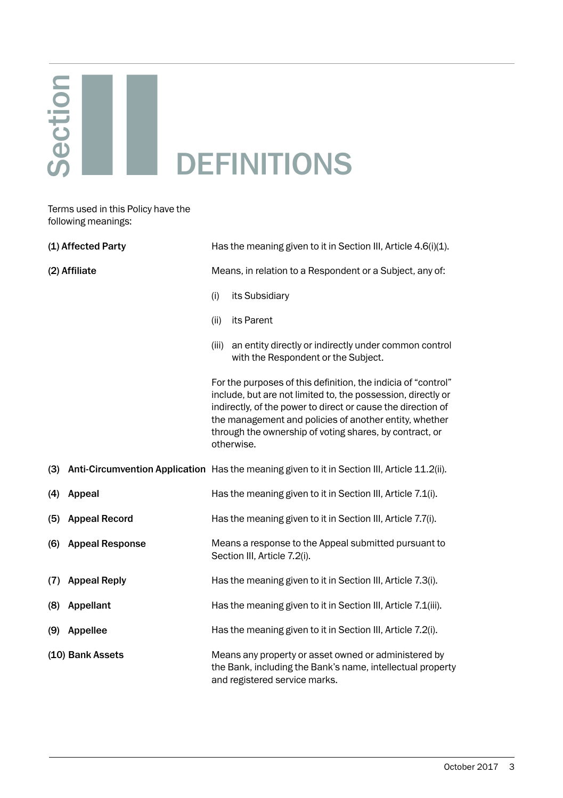# Section II DEFINITIONS

Terms used in this Policy have the following meanings:

|               | (1) Affected Party     |                                                          | Has the meaning given to it in Section III, Article 4.6(i)(1).                                                                                                                                                                                                                                                                   |  |
|---------------|------------------------|----------------------------------------------------------|----------------------------------------------------------------------------------------------------------------------------------------------------------------------------------------------------------------------------------------------------------------------------------------------------------------------------------|--|
| (2) Affiliate |                        | Means, in relation to a Respondent or a Subject, any of: |                                                                                                                                                                                                                                                                                                                                  |  |
|               |                        | (i)                                                      | its Subsidiary                                                                                                                                                                                                                                                                                                                   |  |
|               |                        | (ii)                                                     | its Parent                                                                                                                                                                                                                                                                                                                       |  |
|               |                        | (iii)                                                    | an entity directly or indirectly under common control<br>with the Respondent or the Subject.                                                                                                                                                                                                                                     |  |
|               |                        |                                                          | For the purposes of this definition, the indicia of "control"<br>include, but are not limited to, the possession, directly or<br>indirectly, of the power to direct or cause the direction of<br>the management and policies of another entity, whether<br>through the ownership of voting shares, by contract, or<br>otherwise. |  |
| (3)           |                        |                                                          | Anti-Circumvention Application Has the meaning given to it in Section III, Article 11.2(ii).                                                                                                                                                                                                                                     |  |
| (4)           | Appeal                 |                                                          | Has the meaning given to it in Section III, Article 7.1(i).                                                                                                                                                                                                                                                                      |  |
| (5)           | <b>Appeal Record</b>   |                                                          | Has the meaning given to it in Section III, Article 7.7(i).                                                                                                                                                                                                                                                                      |  |
| (6)           | <b>Appeal Response</b> |                                                          | Means a response to the Appeal submitted pursuant to<br>Section III, Article 7.2(i).                                                                                                                                                                                                                                             |  |
| (7)           | <b>Appeal Reply</b>    |                                                          | Has the meaning given to it in Section III, Article 7.3(i).                                                                                                                                                                                                                                                                      |  |
| (8)           | Appellant              |                                                          | Has the meaning given to it in Section III, Article 7.1(iii).                                                                                                                                                                                                                                                                    |  |
| (9)           | Appellee               |                                                          | Has the meaning given to it in Section III, Article 7.2(i).                                                                                                                                                                                                                                                                      |  |
|               | (10) Bank Assets       |                                                          | Means any property or asset owned or administered by<br>the Bank, including the Bank's name, intellectual property<br>and registered service marks.                                                                                                                                                                              |  |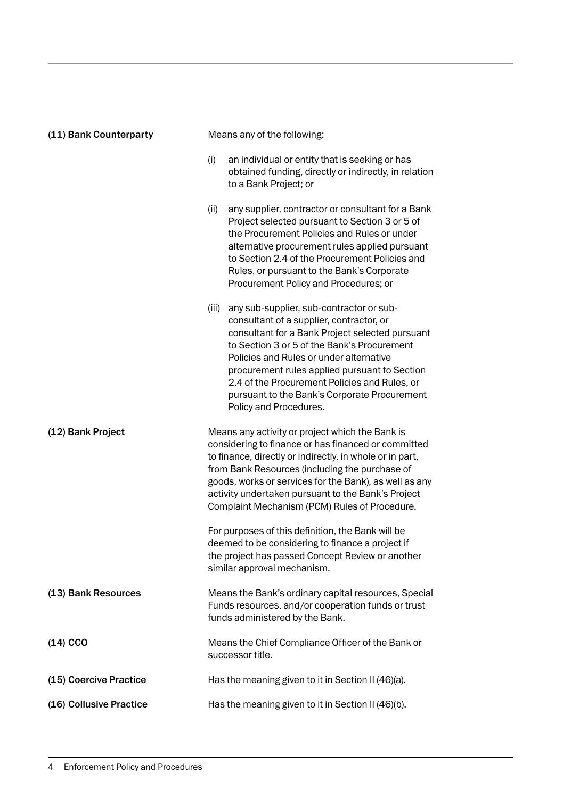| (11) Bank Counterparty  | Means any of the following:                                                                                                                                                                                                                                                                                                                                                                                            |
|-------------------------|------------------------------------------------------------------------------------------------------------------------------------------------------------------------------------------------------------------------------------------------------------------------------------------------------------------------------------------------------------------------------------------------------------------------|
|                         | (i)<br>an individual or entity that is seeking or has<br>obtained funding, directly or indirectly, in relation<br>to a Bank Project; or                                                                                                                                                                                                                                                                                |
|                         | (ii)<br>any supplier, contractor or consultant for a Bank<br>Project selected pursuant to Section 3 or 5 of<br>the Procurement Policies and Rules or under<br>alternative procurement rules applied pursuant<br>to Section 2.4 of the Procurement Policies and<br>Rules, or pursuant to the Bank's Corporate<br>Procurement Policy and Procedures; or                                                                  |
|                         | (iii)<br>any sub-supplier, sub-contractor or sub-<br>consultant of a supplier, contractor, or<br>consultant for a Bank Project selected pursuant<br>to Section 3 or 5 of the Bank's Procurement<br>Policies and Rules or under alternative<br>procurement rules applied pursuant to Section<br>2.4 of the Procurement Policies and Rules, or<br>pursuant to the Bank's Corporate Procurement<br>Policy and Procedures. |
| (12) Bank Project       | Means any activity or project which the Bank is<br>considering to finance or has financed or committed<br>to finance, directly or indirectly, in whole or in part,<br>from Bank Resources (including the purchase of<br>goods, works or services for the Bank), as well as any<br>activity undertaken pursuant to the Bank's Project<br>Complaint Mechanism (PCM) Rules of Procedure.                                  |
|                         | For purposes of this definition, the Bank will be<br>deemed to be considering to finance a project if<br>the project has passed Concept Review or another<br>similar approval mechanism.                                                                                                                                                                                                                               |
| (13) Bank Resources     | Means the Bank's ordinary capital resources, Special<br>Funds resources, and/or cooperation funds or trust<br>funds administered by the Bank.                                                                                                                                                                                                                                                                          |
| $(14)$ CCO              | Means the Chief Compliance Officer of the Bank or<br>successor title.                                                                                                                                                                                                                                                                                                                                                  |
| (15) Coercive Practice  | Has the meaning given to it in Section II (46)(a).                                                                                                                                                                                                                                                                                                                                                                     |
| (16) Collusive Practice | Has the meaning given to it in Section II (46)(b).                                                                                                                                                                                                                                                                                                                                                                     |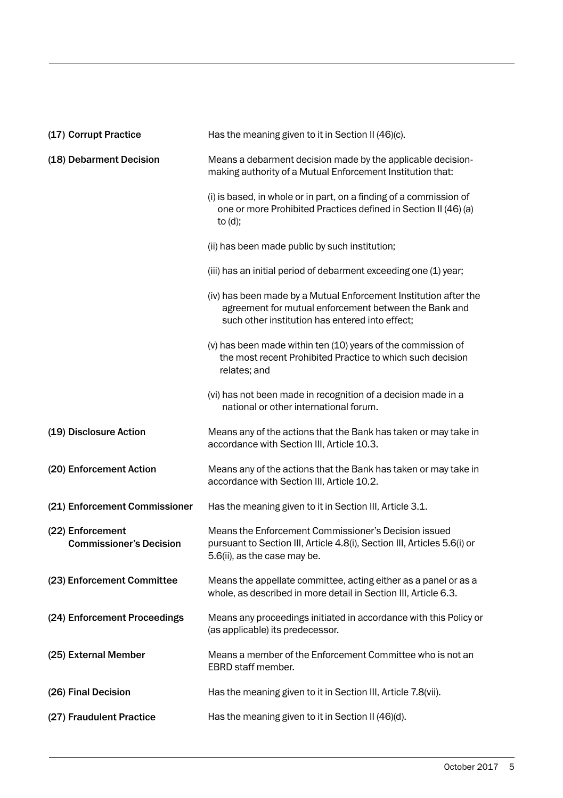| (17) Corrupt Practice                              | Has the meaning given to it in Section II (46)(c).                                                                                                                           |
|----------------------------------------------------|------------------------------------------------------------------------------------------------------------------------------------------------------------------------------|
| (18) Debarment Decision                            | Means a debarment decision made by the applicable decision-<br>making authority of a Mutual Enforcement Institution that:                                                    |
|                                                    | (i) is based, in whole or in part, on a finding of a commission of<br>one or more Prohibited Practices defined in Section II (46) (a)<br>to $(d)$ ;                          |
|                                                    | (ii) has been made public by such institution;                                                                                                                               |
|                                                    | (iii) has an initial period of debarment exceeding one (1) year;                                                                                                             |
|                                                    | (iv) has been made by a Mutual Enforcement Institution after the<br>agreement for mutual enforcement between the Bank and<br>such other institution has entered into effect; |
|                                                    | (v) has been made within ten (10) years of the commission of<br>the most recent Prohibited Practice to which such decision<br>relates; and                                   |
|                                                    | (vi) has not been made in recognition of a decision made in a<br>national or other international forum.                                                                      |
| (19) Disclosure Action                             | Means any of the actions that the Bank has taken or may take in<br>accordance with Section III, Article 10.3.                                                                |
| (20) Enforcement Action                            | Means any of the actions that the Bank has taken or may take in<br>accordance with Section III, Article 10.2.                                                                |
| (21) Enforcement Commissioner                      | Has the meaning given to it in Section III, Article 3.1.                                                                                                                     |
| (22) Enforcement<br><b>Commissioner's Decision</b> | Means the Enforcement Commissioner's Decision issued<br>pursuant to Section III, Article 4.8(i), Section III, Articles 5.6(i) or<br>5.6(ii), as the case may be.             |
| (23) Enforcement Committee                         | Means the appellate committee, acting either as a panel or as a<br>whole, as described in more detail in Section III, Article 6.3.                                           |
| (24) Enforcement Proceedings                       | Means any proceedings initiated in accordance with this Policy or<br>(as applicable) its predecessor.                                                                        |
| (25) External Member                               | Means a member of the Enforcement Committee who is not an<br>EBRD staff member.                                                                                              |
| (26) Final Decision                                | Has the meaning given to it in Section III, Article 7.8(vii).                                                                                                                |
| (27) Fraudulent Practice                           | Has the meaning given to it in Section II (46)(d).                                                                                                                           |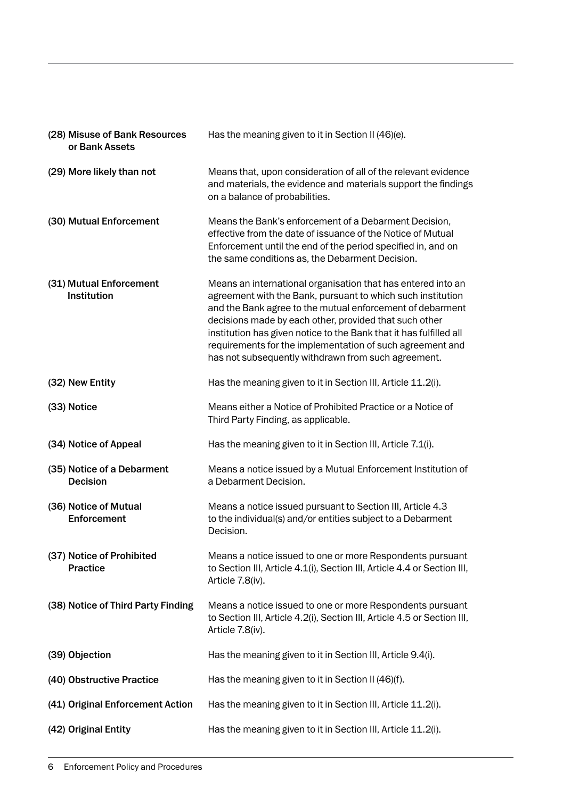| (28) Misuse of Bank Resources<br>or Bank Assets | Has the meaning given to it in Section II (46)(e).                                                                                                                                                                                                                                                                                                                                                                                           |
|-------------------------------------------------|----------------------------------------------------------------------------------------------------------------------------------------------------------------------------------------------------------------------------------------------------------------------------------------------------------------------------------------------------------------------------------------------------------------------------------------------|
| (29) More likely than not                       | Means that, upon consideration of all of the relevant evidence<br>and materials, the evidence and materials support the findings<br>on a balance of probabilities.                                                                                                                                                                                                                                                                           |
| (30) Mutual Enforcement                         | Means the Bank's enforcement of a Debarment Decision,<br>effective from the date of issuance of the Notice of Mutual<br>Enforcement until the end of the period specified in, and on<br>the same conditions as, the Debarment Decision.                                                                                                                                                                                                      |
| (31) Mutual Enforcement<br><b>Institution</b>   | Means an international organisation that has entered into an<br>agreement with the Bank, pursuant to which such institution<br>and the Bank agree to the mutual enforcement of debarment<br>decisions made by each other, provided that such other<br>institution has given notice to the Bank that it has fulfilled all<br>requirements for the implementation of such agreement and<br>has not subsequently withdrawn from such agreement. |
| (32) New Entity                                 | Has the meaning given to it in Section III, Article 11.2(i).                                                                                                                                                                                                                                                                                                                                                                                 |
| (33) Notice                                     | Means either a Notice of Prohibited Practice or a Notice of<br>Third Party Finding, as applicable.                                                                                                                                                                                                                                                                                                                                           |
| (34) Notice of Appeal                           | Has the meaning given to it in Section III, Article 7.1(i).                                                                                                                                                                                                                                                                                                                                                                                  |
| (35) Notice of a Debarment<br><b>Decision</b>   | Means a notice issued by a Mutual Enforcement Institution of<br>a Debarment Decision.                                                                                                                                                                                                                                                                                                                                                        |
| (36) Notice of Mutual<br>Enforcement            | Means a notice issued pursuant to Section III, Article 4.3<br>to the individual(s) and/or entities subject to a Debarment<br>Decision.                                                                                                                                                                                                                                                                                                       |
| (37) Notice of Prohibited<br>Practice           | Means a notice issued to one or more Respondents pursuant<br>to Section III, Article 4.1(i), Section III, Article 4.4 or Section III,<br>Article 7.8(iv).                                                                                                                                                                                                                                                                                    |
| (38) Notice of Third Party Finding              | Means a notice issued to one or more Respondents pursuant<br>to Section III, Article 4.2(i), Section III, Article 4.5 or Section III,<br>Article 7.8(iv).                                                                                                                                                                                                                                                                                    |
| (39) Objection                                  | Has the meaning given to it in Section III, Article 9.4(i).                                                                                                                                                                                                                                                                                                                                                                                  |
| (40) Obstructive Practice                       | Has the meaning given to it in Section II (46)(f).                                                                                                                                                                                                                                                                                                                                                                                           |
| (41) Original Enforcement Action                | Has the meaning given to it in Section III, Article 11.2(i).                                                                                                                                                                                                                                                                                                                                                                                 |
| (42) Original Entity                            | Has the meaning given to it in Section III, Article 11.2(i).                                                                                                                                                                                                                                                                                                                                                                                 |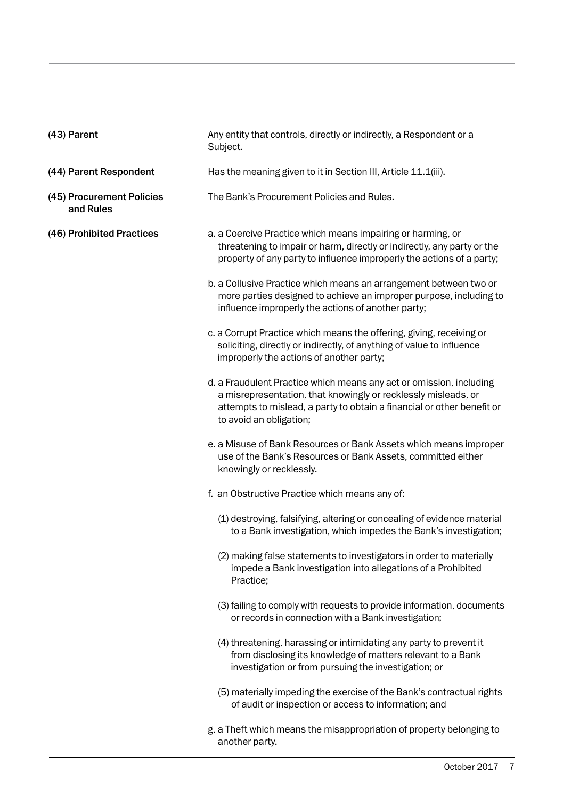| (43) Parent                            | Any entity that controls, directly or indirectly, a Respondent or a<br>Subject.                                                                                                                                                            |
|----------------------------------------|--------------------------------------------------------------------------------------------------------------------------------------------------------------------------------------------------------------------------------------------|
| (44) Parent Respondent                 | Has the meaning given to it in Section III, Article 11.1(iii).                                                                                                                                                                             |
| (45) Procurement Policies<br>and Rules | The Bank's Procurement Policies and Rules.                                                                                                                                                                                                 |
| (46) Prohibited Practices              | a. a Coercive Practice which means impairing or harming, or<br>threatening to impair or harm, directly or indirectly, any party or the<br>property of any party to influence improperly the actions of a party;                            |
|                                        | b. a Collusive Practice which means an arrangement between two or<br>more parties designed to achieve an improper purpose, including to<br>influence improperly the actions of another party;                                              |
|                                        | c. a Corrupt Practice which means the offering, giving, receiving or<br>soliciting, directly or indirectly, of anything of value to influence<br>improperly the actions of another party;                                                  |
|                                        | d. a Fraudulent Practice which means any act or omission, including<br>a misrepresentation, that knowingly or recklessly misleads, or<br>attempts to mislead, a party to obtain a financial or other benefit or<br>to avoid an obligation; |
|                                        | e. a Misuse of Bank Resources or Bank Assets which means improper<br>use of the Bank's Resources or Bank Assets, committed either<br>knowingly or recklessly.                                                                              |
|                                        | f. an Obstructive Practice which means any of:                                                                                                                                                                                             |
|                                        | (1) destroying, falsifying, altering or concealing of evidence material<br>to a Bank investigation, which impedes the Bank's investigation;                                                                                                |
|                                        | (2) making false statements to investigators in order to materially<br>impede a Bank investigation into allegations of a Prohibited<br>Practice;                                                                                           |
|                                        | (3) failing to comply with requests to provide information, documents<br>or records in connection with a Bank investigation;                                                                                                               |
|                                        | (4) threatening, harassing or intimidating any party to prevent it<br>from disclosing its knowledge of matters relevant to a Bank<br>investigation or from pursuing the investigation; or                                                  |
|                                        | (5) materially impeding the exercise of the Bank's contractual rights<br>of audit or inspection or access to information; and                                                                                                              |
|                                        | g. a Theft which means the misappropriation of property belonging to<br>another party.                                                                                                                                                     |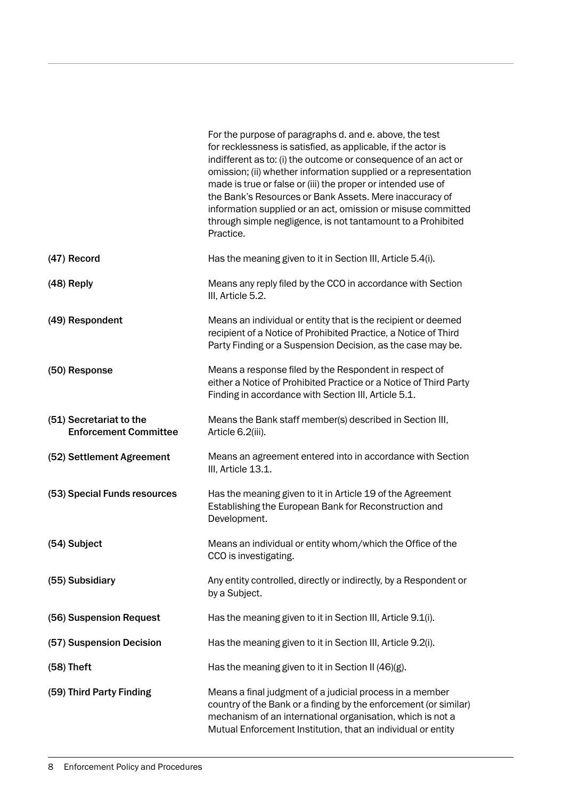|                                                         | For the purpose of paragraphs d. and e. above, the test<br>for recklessness is satisfied, as applicable, if the actor is<br>indifferent as to: (i) the outcome or consequence of an act or<br>omission; (ii) whether information supplied or a representation<br>made is true or false or (iii) the proper or intended use of<br>the Bank's Resources or Bank Assets. Mere inaccuracy of<br>information supplied or an act, omission or misuse committed<br>through simple negligence, is not tantamount to a Prohibited<br>Practice. |
|---------------------------------------------------------|---------------------------------------------------------------------------------------------------------------------------------------------------------------------------------------------------------------------------------------------------------------------------------------------------------------------------------------------------------------------------------------------------------------------------------------------------------------------------------------------------------------------------------------|
| (47) Record                                             | Has the meaning given to it in Section III, Article 5.4(i).                                                                                                                                                                                                                                                                                                                                                                                                                                                                           |
| (48) Reply                                              | Means any reply filed by the CCO in accordance with Section<br>III, Article 5.2.                                                                                                                                                                                                                                                                                                                                                                                                                                                      |
| (49) Respondent                                         | Means an individual or entity that is the recipient or deemed<br>recipient of a Notice of Prohibited Practice, a Notice of Third<br>Party Finding or a Suspension Decision, as the case may be.                                                                                                                                                                                                                                                                                                                                       |
| (50) Response                                           | Means a response filed by the Respondent in respect of<br>either a Notice of Prohibited Practice or a Notice of Third Party<br>Finding in accordance with Section III, Article 5.1.                                                                                                                                                                                                                                                                                                                                                   |
| (51) Secretariat to the<br><b>Enforcement Committee</b> | Means the Bank staff member(s) described in Section III,<br>Article 6.2(iii).                                                                                                                                                                                                                                                                                                                                                                                                                                                         |
| (52) Settlement Agreement                               | Means an agreement entered into in accordance with Section<br>III, Article 13.1.                                                                                                                                                                                                                                                                                                                                                                                                                                                      |
| (53) Special Funds resources                            | Has the meaning given to it in Article 19 of the Agreement<br>Establishing the European Bank for Reconstruction and<br>Development.                                                                                                                                                                                                                                                                                                                                                                                                   |
| (54) Subject                                            | Means an individual or entity whom/which the Office of the<br>CCO is investigating.                                                                                                                                                                                                                                                                                                                                                                                                                                                   |
| (55) Subsidiary                                         | Any entity controlled, directly or indirectly, by a Respondent or<br>by a Subject.                                                                                                                                                                                                                                                                                                                                                                                                                                                    |
| (56) Suspension Request                                 | Has the meaning given to it in Section III, Article 9.1(i).                                                                                                                                                                                                                                                                                                                                                                                                                                                                           |
| (57) Suspension Decision                                | Has the meaning given to it in Section III, Article 9.2(i).                                                                                                                                                                                                                                                                                                                                                                                                                                                                           |
| $(58)$ Theft                                            | Has the meaning given to it in Section II (46)(g).                                                                                                                                                                                                                                                                                                                                                                                                                                                                                    |
| (59) Third Party Finding                                | Means a final judgment of a judicial process in a member<br>country of the Bank or a finding by the enforcement (or similar)<br>mechanism of an international organisation, which is not a<br>Mutual Enforcement Institution, that an individual or entity                                                                                                                                                                                                                                                                            |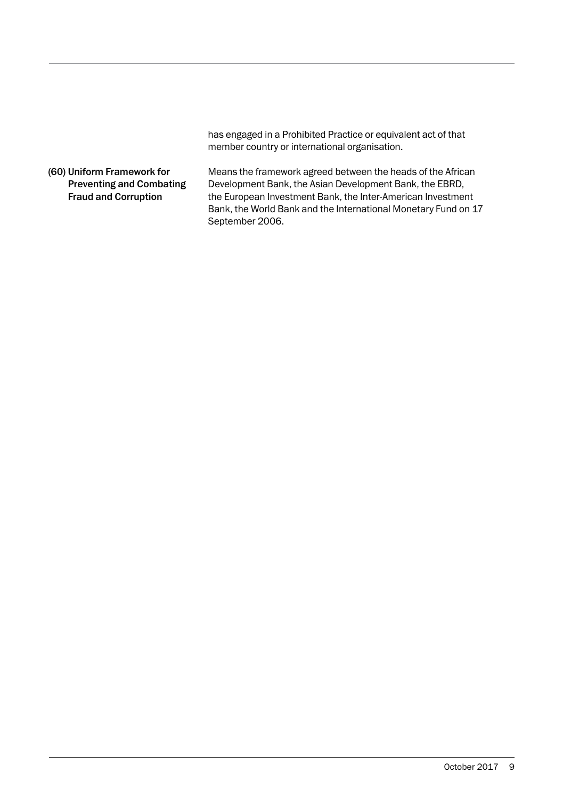has engaged in a Prohibited Practice or equivalent act of that member country or international organisation.

#### (60) Uniform Framework for Preventing and Combating Fraud and Corruption

Means the framework agreed between the heads of the African Development Bank, the Asian Development Bank, the EBRD, the European Investment Bank, the Inter-American Investment Bank, the World Bank and the International Monetary Fund on 17 September 2006.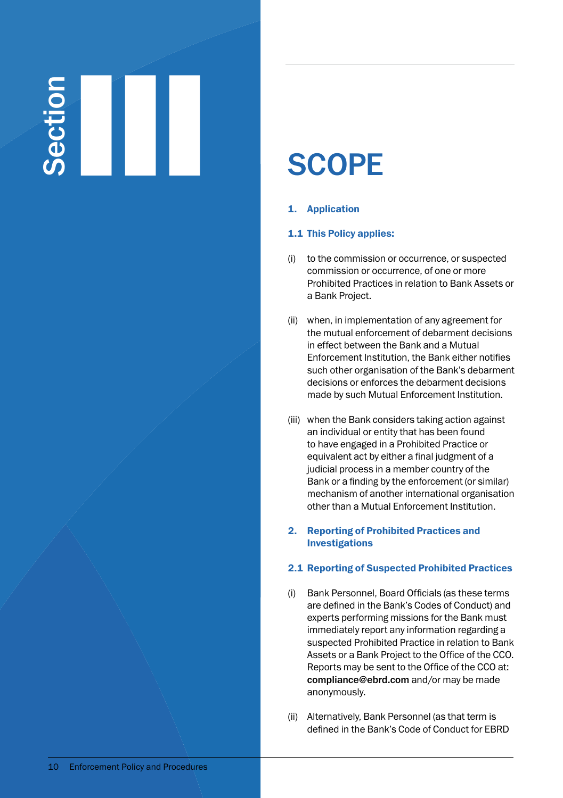# SCOPE<br>
SCOPE<br>
1. Application

#### 1. Application

#### 1.1 This Policy applies:

- (i) to the commission or occurrence, or suspected commission or occurrence, of one or more Prohibited Practices in relation to Bank Assets or a Bank Project.
- (ii) when, in implementation of any agreement for the mutual enforcement of debarment decisions in effect between the Bank and a Mutual Enforcement Institution, the Bank either notifies such other organisation of the Bank's debarment decisions or enforces the debarment decisions made by such Mutual Enforcement Institution.
- (iii) when the Bank considers taking action against an individual or entity that has been found to have engaged in a Prohibited Practice or equivalent act by either a final judgment of a judicial process in a member country of the Bank or a finding by the enforcement (or similar) mechanism of another international organisation other than a Mutual Enforcement Institution.

#### 2. Reporting of Prohibited Practices and Investigations

#### 2.1 Reporting of Suspected Prohibited Practices

- (i) Bank Personnel, Board Officials (as these terms are defined in the Bank's Codes of Conduct) and experts performing missions for the Bank must immediately report any information regarding a suspected Prohibited Practice in relation to Bank Assets or a Bank Project to the Office of the CCO. Reports may be sent to the Office of the CCO at: compliance@ebrd.com and/or may be made anonymously.
- (ii) Alternatively, Bank Personnel (as that term is defined in the Bank's Code of Conduct for EBRD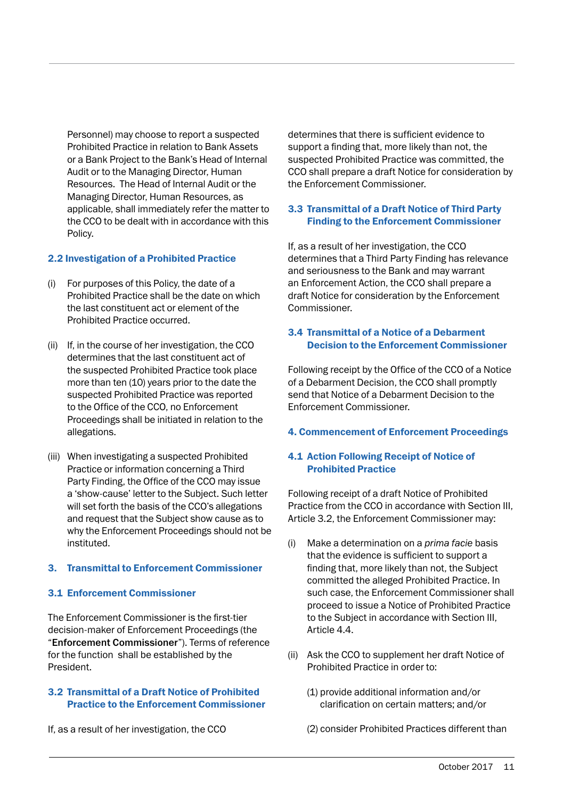Personnel) may choose to report a suspected Prohibited Practice in relation to Bank Assets or a Bank Project to the Bank's Head of Internal Audit or to the Managing Director, Human Resources. The Head of Internal Audit or the Managing Director, Human Resources, as applicable, shall immediately refer the matter to the CCO to be dealt with in accordance with this Policy.

#### 2.2 Investigation of a Prohibited Practice

- (i) For purposes of this Policy, the date of a Prohibited Practice shall be the date on which the last constituent act or element of the Prohibited Practice occurred.
- (ii) If, in the course of her investigation, the CCO determines that the last constituent act of the suspected Prohibited Practice took place more than ten (10) years prior to the date the suspected Prohibited Practice was reported to the Office of the CCO, no Enforcement Proceedings shall be initiated in relation to the allegations.
- (iii) When investigating a suspected Prohibited Practice or information concerning a Third Party Finding, the Office of the CCO may issue a 'show-cause' letter to the Subject. Such letter will set forth the basis of the CCO's allegations and request that the Subject show cause as to why the Enforcement Proceedings should not be instituted.

#### 3. Transmittal to Enforcement Commissioner

#### 3.1 Enforcement Commissioner

The Enforcement Commissioner is the first-tier decision-maker of Enforcement Proceedings (the "Enforcement Commissioner"). Terms of reference for the function shall be established by the President.

#### 3.2 Transmittal of a Draft Notice of Prohibited Practice to the Enforcement Commissioner

If, as a result of her investigation, the CCO

determines that there is sufficient evidence to support a finding that, more likely than not, the suspected Prohibited Practice was committed, the CCO shall prepare a draft Notice for consideration by the Enforcement Commissioner.

#### 3.3 Transmittal of a Draft Notice of Third Party Finding to the Enforcement Commissioner

If, as a result of her investigation, the CCO determines that a Third Party Finding has relevance and seriousness to the Bank and may warrant an Enforcement Action, the CCO shall prepare a draft Notice for consideration by the Enforcement Commissioner.

#### 3.4 Transmittal of a Notice of a Debarment Decision to the Enforcement Commissioner

Following receipt by the Office of the CCO of a Notice of a Debarment Decision, the CCO shall promptly send that Notice of a Debarment Decision to the Enforcement Commissioner.

#### 4. Commencement of Enforcement Proceedings

#### 4.1 Action Following Receipt of Notice of Prohibited Practice

Following receipt of a draft Notice of Prohibited Practice from the CCO in accordance with Section III, Article 3.2, the Enforcement Commissioner may:

- (i) Make a determination on a *prima facie* basis that the evidence is sufficient to support a finding that, more likely than not, the Subject committed the alleged Prohibited Practice. In such case, the Enforcement Commissioner shall proceed to issue a Notice of Prohibited Practice to the Subject in accordance with Section III, Article 4.4.
- (ii) Ask the CCO to supplement her draft Notice of Prohibited Practice in order to:
	- (1) provide additional information and/or clarification on certain matters; and/or
	- (2) consider Prohibited Practices different than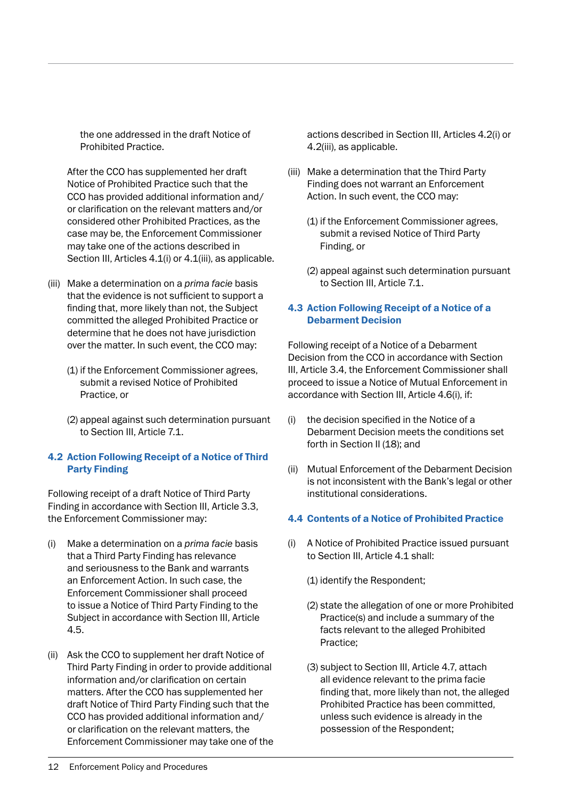the one addressed in the draft Notice of Prohibited Practice.

 After the CCO has supplemented her draft Notice of Prohibited Practice such that the CCO has provided additional information and/ or clarification on the relevant matters and/or considered other Prohibited Practices, as the case may be, the Enforcement Commissioner may take one of the actions described in Section III, Articles 4.1(i) or 4.1(iii), as applicable.

- (iii) Make a determination on a *prima facie* basis that the evidence is not sufficient to support a finding that, more likely than not, the Subject committed the alleged Prohibited Practice or determine that he does not have jurisdiction over the matter. In such event, the CCO may:
	- (1) if the Enforcement Commissioner agrees, submit a revised Notice of Prohibited Practice, or
	- (2) appeal against such determination pursuant to Section III, Article 7.1.

#### 4.2 Action Following Receipt of a Notice of Third Party Finding

Following receipt of a draft Notice of Third Party Finding in accordance with Section III, Article 3.3, the Enforcement Commissioner may:

- (i) Make a determination on a *prima facie* basis that a Third Party Finding has relevance and seriousness to the Bank and warrants an Enforcement Action. In such case, the Enforcement Commissioner shall proceed to issue a Notice of Third Party Finding to the Subject in accordance with Section III, Article 4.5.
- (ii) Ask the CCO to supplement her draft Notice of Third Party Finding in order to provide additional information and/or clarification on certain matters. After the CCO has supplemented her draft Notice of Third Party Finding such that the CCO has provided additional information and/ or clarification on the relevant matters, the Enforcement Commissioner may take one of the

actions described in Section III, Articles 4.2(i) or 4.2(iii), as applicable.

- (iii) Make a determination that the Third Party Finding does not warrant an Enforcement Action. In such event, the CCO may:
	- (1) if the Enforcement Commissioner agrees, submit a revised Notice of Third Party Finding, or
	- (2) appeal against such determination pursuant to Section III, Article 7.1.

#### 4.3 Action Following Receipt of a Notice of a Debarment Decision

Following receipt of a Notice of a Debarment Decision from the CCO in accordance with Section III, Article 3.4, the Enforcement Commissioner shall proceed to issue a Notice of Mutual Enforcement in accordance with Section III, Article 4.6(i), if:

- (i) the decision specified in the Notice of a Debarment Decision meets the conditions set forth in Section II (18); and
- (ii) Mutual Enforcement of the Debarment Decision is not inconsistent with the Bank's legal or other institutional considerations.

#### 4.4 Contents of a Notice of Prohibited Practice

- (i) A Notice of Prohibited Practice issued pursuant to Section III, Article 4.1 shall:
	- (1) identify the Respondent;
	- (2) state the allegation of one or more Prohibited Practice(s) and include a summary of the facts relevant to the alleged Prohibited Practice;
	- (3) subject to Section III, Article 4.7, attach all evidence relevant to the prima facie finding that, more likely than not, the alleged Prohibited Practice has been committed, unless such evidence is already in the possession of the Respondent;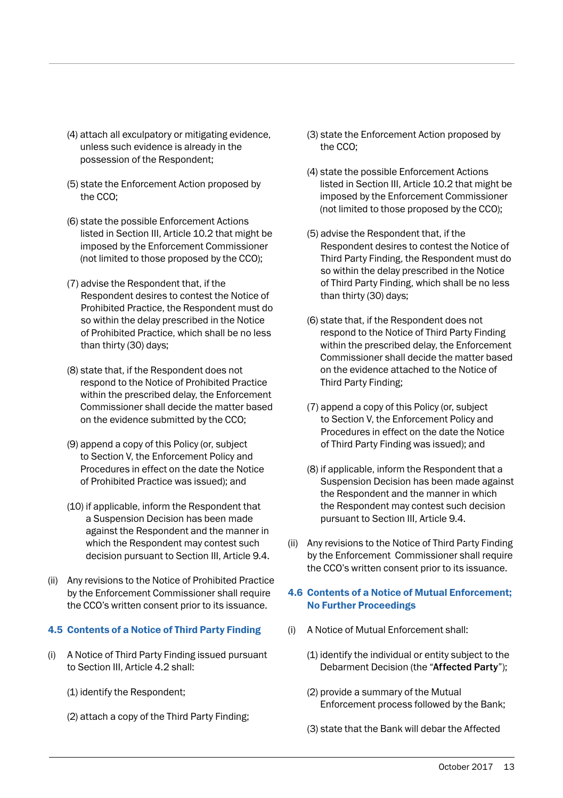- (4) attach all exculpatory or mitigating evidence, unless such evidence is already in the possession of the Respondent;
- (5) state the Enforcement Action proposed by the CCO;
- (6) state the possible Enforcement Actions listed in Section III, Article 10.2 that might be imposed by the Enforcement Commissioner (not limited to those proposed by the CCO);
- (7) advise the Respondent that, if the Respondent desires to contest the Notice of Prohibited Practice, the Respondent must do so within the delay prescribed in the Notice of Prohibited Practice, which shall be no less than thirty (30) days;
- (8) state that, if the Respondent does not respond to the Notice of Prohibited Practice within the prescribed delay, the Enforcement Commissioner shall decide the matter based on the evidence submitted by the CCO;
- (9) append a copy of this Policy (or, subject to Section V, the Enforcement Policy and Procedures in effect on the date the Notice of Prohibited Practice was issued); and
- (10) if applicable, inform the Respondent that a Suspension Decision has been made against the Respondent and the manner in which the Respondent may contest such decision pursuant to Section III, Article 9.4.
- (ii) Any revisions to the Notice of Prohibited Practice by the Enforcement Commissioner shall require the CCO's written consent prior to its issuance.

#### 4.5 Contents of a Notice of Third Party Finding

- (i) A Notice of Third Party Finding issued pursuant to Section III, Article 4.2 shall:
	- (1) identify the Respondent;
	- (2) attach a copy of the Third Party Finding;
- (3) state the Enforcement Action proposed by the CCO;
- (4) state the possible Enforcement Actions listed in Section III, Article 10.2 that might be imposed by the Enforcement Commissioner (not limited to those proposed by the CCO);
- (5) advise the Respondent that, if the Respondent desires to contest the Notice of Third Party Finding, the Respondent must do so within the delay prescribed in the Notice of Third Party Finding, which shall be no less than thirty (30) days;
- (6) state that, if the Respondent does not respond to the Notice of Third Party Finding within the prescribed delay, the Enforcement Commissioner shall decide the matter based on the evidence attached to the Notice of Third Party Finding;
- (7) append a copy of this Policy (or, subject to Section V, the Enforcement Policy and Procedures in effect on the date the Notice of Third Party Finding was issued); and
- (8) if applicable, inform the Respondent that a Suspension Decision has been made against the Respondent and the manner in which the Respondent may contest such decision pursuant to Section III, Article 9.4.
- (ii) Any revisions to the Notice of Third Party Finding by the Enforcement Commissioner shall require the CCO's written consent prior to its issuance.

#### 4.6 Contents of a Notice of Mutual Enforcement; No Further Proceedings

- (i) A Notice of Mutual Enforcement shall:
	- (1) identify the individual or entity subject to the Debarment Decision (the "Affected Party");
	- (2) provide a summary of the Mutual Enforcement process followed by the Bank;
	- (3) state that the Bank will debar the Affected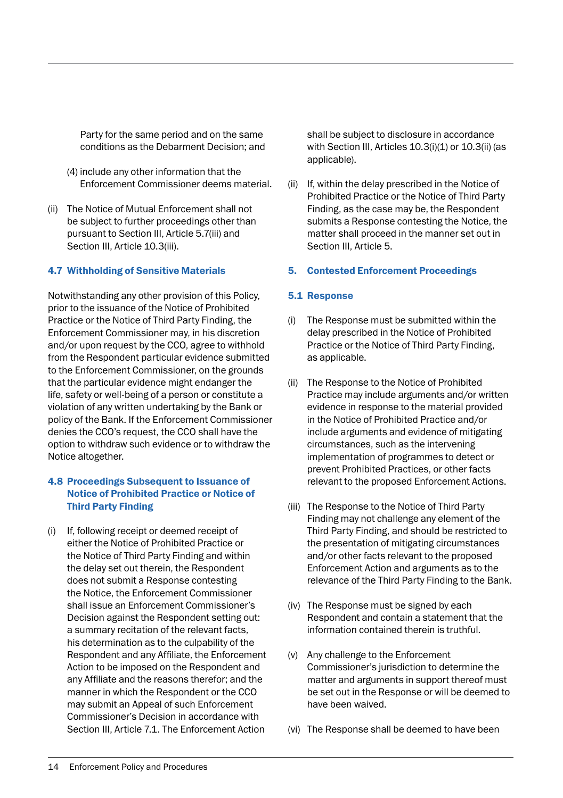Party for the same period and on the same conditions as the Debarment Decision; and

- (4) include any other information that the Enforcement Commissioner deems material.
- (ii) The Notice of Mutual Enforcement shall not be subject to further proceedings other than pursuant to Section III, Article 5.7(iii) and Section III, Article 10.3(iii).

#### 4.7 Withholding of Sensitive Materials

Notwithstanding any other provision of this Policy, prior to the issuance of the Notice of Prohibited Practice or the Notice of Third Party Finding, the Enforcement Commissioner may, in his discretion and/or upon request by the CCO, agree to withhold from the Respondent particular evidence submitted to the Enforcement Commissioner, on the grounds that the particular evidence might endanger the life, safety or well-being of a person or constitute a violation of any written undertaking by the Bank or policy of the Bank. If the Enforcement Commissioner denies the CCO's request, the CCO shall have the option to withdraw such evidence or to withdraw the Notice altogether.

#### 4.8 Proceedings Subsequent to Issuance of Notice of Prohibited Practice or Notice of Third Party Finding

(i) If, following receipt or deemed receipt of either the Notice of Prohibited Practice or the Notice of Third Party Finding and within the delay set out therein, the Respondent does not submit a Response contesting the Notice, the Enforcement Commissioner shall issue an Enforcement Commissioner's Decision against the Respondent setting out: a summary recitation of the relevant facts, his determination as to the culpability of the Respondent and any Affiliate, the Enforcement Action to be imposed on the Respondent and any Affiliate and the reasons therefor; and the manner in which the Respondent or the CCO may submit an Appeal of such Enforcement Commissioner's Decision in accordance with Section III, Article 7.1. The Enforcement Action

shall be subject to disclosure in accordance with Section III, Articles 10.3(i)(1) or 10.3(ii) (as applicable).

(ii) If, within the delay prescribed in the Notice of Prohibited Practice or the Notice of Third Party Finding, as the case may be, the Respondent submits a Response contesting the Notice, the matter shall proceed in the manner set out in Section III, Article 5.

#### 5. Contested Enforcement Proceedings

#### 5.1 Response

- (i) The Response must be submitted within the delay prescribed in the Notice of Prohibited Practice or the Notice of Third Party Finding, as applicable.
- (ii) The Response to the Notice of Prohibited Practice may include arguments and/or written evidence in response to the material provided in the Notice of Prohibited Practice and/or include arguments and evidence of mitigating circumstances, such as the intervening implementation of programmes to detect or prevent Prohibited Practices, or other facts relevant to the proposed Enforcement Actions.
- (iii) The Response to the Notice of Third Party Finding may not challenge any element of the Third Party Finding, and should be restricted to the presentation of mitigating circumstances and/or other facts relevant to the proposed Enforcement Action and arguments as to the relevance of the Third Party Finding to the Bank.
- (iv) The Response must be signed by each Respondent and contain a statement that the information contained therein is truthful.
- (v) Any challenge to the Enforcement Commissioner's jurisdiction to determine the matter and arguments in support thereof must be set out in the Response or will be deemed to have been waived.
- (vi) The Response shall be deemed to have been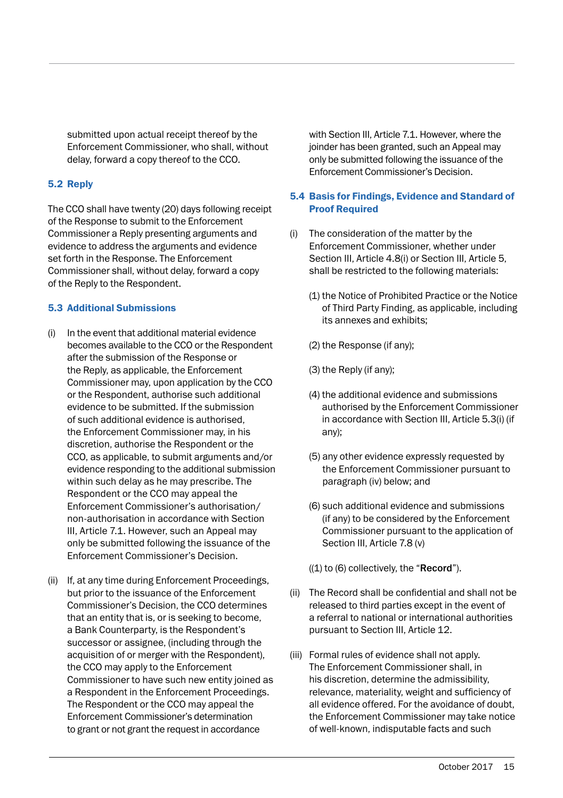submitted upon actual receipt thereof by the Enforcement Commissioner, who shall, without delay, forward a copy thereof to the CCO.

#### 5.2 Reply

The CCO shall have twenty (20) days following receipt of the Response to submit to the Enforcement Commissioner a Reply presenting arguments and evidence to address the arguments and evidence set forth in the Response. The Enforcement Commissioner shall, without delay, forward a copy of the Reply to the Respondent.

#### 5.3 Additional Submissions

- (i) In the event that additional material evidence becomes available to the CCO or the Respondent after the submission of the Response or the Reply, as applicable, the Enforcement Commissioner may, upon application by the CCO or the Respondent, authorise such additional evidence to be submitted. If the submission of such additional evidence is authorised, the Enforcement Commissioner may, in his discretion, authorise the Respondent or the CCO, as applicable, to submit arguments and/or evidence responding to the additional submission within such delay as he may prescribe. The Respondent or the CCO may appeal the Enforcement Commissioner's authorisation/ non-authorisation in accordance with Section III, Article 7.1. However, such an Appeal may only be submitted following the issuance of the Enforcement Commissioner's Decision.
- (ii) If, at any time during Enforcement Proceedings, but prior to the issuance of the Enforcement Commissioner's Decision, the CCO determines that an entity that is, or is seeking to become, a Bank Counterparty, is the Respondent's successor or assignee, (including through the acquisition of or merger with the Respondent), the CCO may apply to the Enforcement Commissioner to have such new entity joined as a Respondent in the Enforcement Proceedings. The Respondent or the CCO may appeal the Enforcement Commissioner's determination to grant or not grant the request in accordance

with Section III, Article 7.1. However, where the joinder has been granted, such an Appeal may only be submitted following the issuance of the Enforcement Commissioner's Decision.

#### 5.4 Basis for Findings, Evidence and Standard of Proof Required

- (i) The consideration of the matter by the Enforcement Commissioner, whether under Section III, Article 4.8(i) or Section III, Article 5, shall be restricted to the following materials:
	- (1) the Notice of Prohibited Practice or the Notice of Third Party Finding, as applicable, including its annexes and exhibits;
	- (2) the Response (if any);
	- (3) the Reply (if any);
	- (4) the additional evidence and submissions authorised by the Enforcement Commissioner in accordance with Section III, Article 5.3(i) (if any);
	- (5) any other evidence expressly requested by the Enforcement Commissioner pursuant to paragraph (iv) below; and
	- (6) such additional evidence and submissions (if any) to be considered by the Enforcement Commissioner pursuant to the application of Section III, Article 7.8 (v)

 $((1)$  to  $(6)$  collectively, the "**Record**").

- (ii) The Record shall be confidential and shall not be released to third parties except in the event of a referral to national or international authorities pursuant to Section III, Article 12.
- (iii) Formal rules of evidence shall not apply. The Enforcement Commissioner shall, in his discretion, determine the admissibility, relevance, materiality, weight and sufficiency of all evidence offered. For the avoidance of doubt, the Enforcement Commissioner may take notice of well-known, indisputable facts and such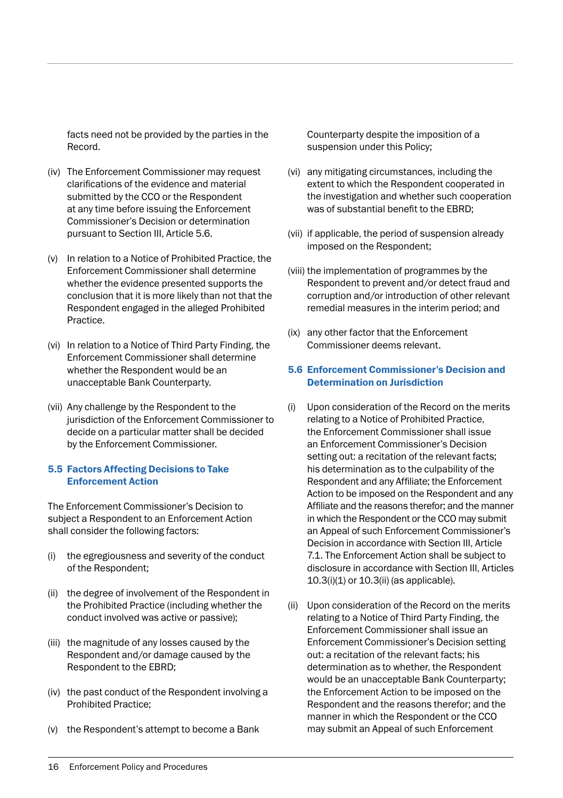facts need not be provided by the parties in the Record.

- (iv) The Enforcement Commissioner may request clarifications of the evidence and material submitted by the CCO or the Respondent at any time before issuing the Enforcement Commissioner's Decision or determination pursuant to Section III, Article 5.6.
- (v) In relation to a Notice of Prohibited Practice, the Enforcement Commissioner shall determine whether the evidence presented supports the conclusion that it is more likely than not that the Respondent engaged in the alleged Prohibited Practice.
- (vi) In relation to a Notice of Third Party Finding, the Enforcement Commissioner shall determine whether the Respondent would be an unacceptable Bank Counterparty.
- (vii) Any challenge by the Respondent to the jurisdiction of the Enforcement Commissioner to decide on a particular matter shall be decided by the Enforcement Commissioner.

#### 5.5 Factors Affecting Decisions to Take Enforcement Action

The Enforcement Commissioner's Decision to subject a Respondent to an Enforcement Action shall consider the following factors:

- (i) the egregiousness and severity of the conduct of the Respondent;
- (ii) the degree of involvement of the Respondent in the Prohibited Practice (including whether the conduct involved was active or passive);
- (iii) the magnitude of any losses caused by the Respondent and/or damage caused by the Respondent to the EBRD;
- (iv) the past conduct of the Respondent involving a Prohibited Practice;
- (v) the Respondent's attempt to become a Bank

Counterparty despite the imposition of a suspension under this Policy;

- (vi) any mitigating circumstances, including the extent to which the Respondent cooperated in the investigation and whether such cooperation was of substantial benefit to the EBRD;
- (vii) if applicable, the period of suspension already imposed on the Respondent;
- (viii) the implementation of programmes by the Respondent to prevent and/or detect fraud and corruption and/or introduction of other relevant remedial measures in the interim period; and
- (ix) any other factor that the Enforcement Commissioner deems relevant.

#### 5.6 Enforcement Commissioner's Decision and Determination on Jurisdiction

- (i) Upon consideration of the Record on the merits relating to a Notice of Prohibited Practice, the Enforcement Commissioner shall issue an Enforcement Commissioner's Decision setting out: a recitation of the relevant facts; his determination as to the culpability of the Respondent and any Affiliate; the Enforcement Action to be imposed on the Respondent and any Affiliate and the reasons therefor; and the manner in which the Respondent or the CCO may submit an Appeal of such Enforcement Commissioner's Decision in accordance with Section III, Article 7.1. The Enforcement Action shall be subject to disclosure in accordance with Section III, Articles 10.3(i)(1) or 10.3(ii) (as applicable).
- (ii) Upon consideration of the Record on the merits relating to a Notice of Third Party Finding, the Enforcement Commissioner shall issue an Enforcement Commissioner's Decision setting out: a recitation of the relevant facts; his determination as to whether, the Respondent would be an unacceptable Bank Counterparty; the Enforcement Action to be imposed on the Respondent and the reasons therefor; and the manner in which the Respondent or the CCO may submit an Appeal of such Enforcement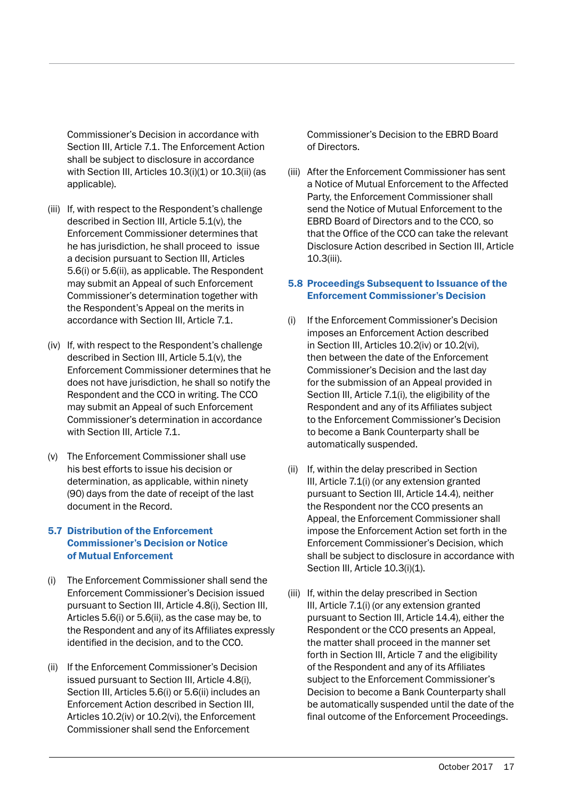Commissioner's Decision in accordance with Section III, Article 7.1. The Enforcement Action shall be subject to disclosure in accordance with Section III, Articles 10.3(i)(1) or 10.3(ii) (as applicable).

- (iii) If, with respect to the Respondent's challenge described in Section III, Article 5.1(v), the Enforcement Commissioner determines that he has jurisdiction, he shall proceed to issue a decision pursuant to Section III, Articles 5.6(i) or 5.6(ii), as applicable. The Respondent may submit an Appeal of such Enforcement Commissioner's determination together with the Respondent's Appeal on the merits in accordance with Section III, Article 7.1.
- (iv) If, with respect to the Respondent's challenge described in Section III, Article 5.1(v), the Enforcement Commissioner determines that he does not have jurisdiction, he shall so notify the Respondent and the CCO in writing. The CCO may submit an Appeal of such Enforcement Commissioner's determination in accordance with Section III, Article 7.1.
- (v) The Enforcement Commissioner shall use his best efforts to issue his decision or determination, as applicable, within ninety (90) days from the date of receipt of the last document in the Record.

#### 5.7 Distribution of the Enforcement Commissioner's Decision or Notice of Mutual Enforcement

- (i) The Enforcement Commissioner shall send the Enforcement Commissioner's Decision issued pursuant to Section III, Article 4.8(i), Section III, Articles 5.6(i) or 5.6(ii), as the case may be, to the Respondent and any of its Affiliates expressly identified in the decision, and to the CCO.
- (ii) If the Enforcement Commissioner's Decision issued pursuant to Section III, Article 4.8(i), Section III, Articles 5.6(i) or 5.6(ii) includes an Enforcement Action described in Section III, Articles 10.2(iv) or 10.2(vi), the Enforcement Commissioner shall send the Enforcement

Commissioner's Decision to the EBRD Board of Directors.

(iii) After the Enforcement Commissioner has sent a Notice of Mutual Enforcement to the Affected Party, the Enforcement Commissioner shall send the Notice of Mutual Enforcement to the EBRD Board of Directors and to the CCO, so that the Office of the CCO can take the relevant Disclosure Action described in Section III, Article 10.3(iii).

#### 5.8 Proceedings Subsequent to Issuance of the Enforcement Commissioner's Decision

- (i) If the Enforcement Commissioner's Decision imposes an Enforcement Action described in Section III, Articles 10.2(iv) or 10.2(vi), then between the date of the Enforcement Commissioner's Decision and the last day for the submission of an Appeal provided in Section III, Article 7.1(i), the eligibility of the Respondent and any of its Affiliates subject to the Enforcement Commissioner's Decision to become a Bank Counterparty shall be automatically suspended.
- (ii) If, within the delay prescribed in Section III, Article 7.1(i) (or any extension granted pursuant to Section III, Article 14.4), neither the Respondent nor the CCO presents an Appeal, the Enforcement Commissioner shall impose the Enforcement Action set forth in the Enforcement Commissioner's Decision, which shall be subject to disclosure in accordance with Section III, Article 10.3(i)(1).
- (iii) If, within the delay prescribed in Section III, Article 7.1(i) (or any extension granted pursuant to Section III, Article 14.4), either the Respondent or the CCO presents an Appeal, the matter shall proceed in the manner set forth in Section III, Article 7 and the eligibility of the Respondent and any of its Affiliates subject to the Enforcement Commissioner's Decision to become a Bank Counterparty shall be automatically suspended until the date of the final outcome of the Enforcement Proceedings.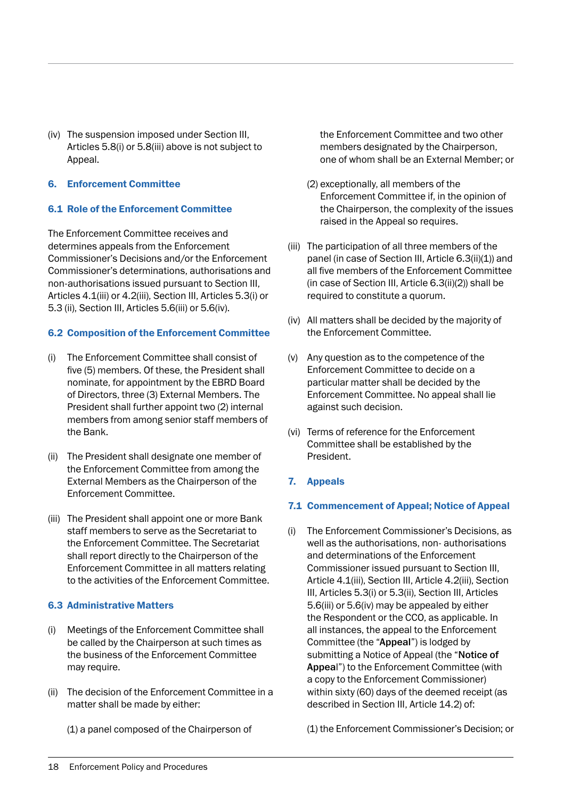(iv) The suspension imposed under Section III, Articles 5.8(i) or 5.8(iii) above is not subject to Appeal.

#### 6. Enforcement Committee

#### 6.1 Role of the Enforcement Committee

The Enforcement Committee receives and determines appeals from the Enforcement Commissioner's Decisions and/or the Enforcement Commissioner's determinations, authorisations and non-authorisations issued pursuant to Section III, Articles 4.1(iii) or 4.2(iii), Section III, Articles 5.3(i) or 5.3 (ii), Section III, Articles 5.6(iii) or 5.6(iv).

#### 6.2 Composition of the Enforcement Committee

- (i) The Enforcement Committee shall consist of five (5) members. Of these, the President shall nominate, for appointment by the EBRD Board of Directors, three (3) External Members. The President shall further appoint two (2) internal members from among senior staff members of the Bank.
- (ii) The President shall designate one member of the Enforcement Committee from among the External Members as the Chairperson of the Enforcement Committee.
- (iii) The President shall appoint one or more Bank staff members to serve as the Secretariat to the Enforcement Committee. The Secretariat shall report directly to the Chairperson of the Enforcement Committee in all matters relating to the activities of the Enforcement Committee.

#### 6.3 Administrative Matters

- (i) Meetings of the Enforcement Committee shall be called by the Chairperson at such times as the business of the Enforcement Committee may require.
- (ii) The decision of the Enforcement Committee in a matter shall be made by either:

(1) a panel composed of the Chairperson of

the Enforcement Committee and two other members designated by the Chairperson, one of whom shall be an External Member; or

- (2) exceptionally, all members of the Enforcement Committee if, in the opinion of the Chairperson, the complexity of the issues raised in the Appeal so requires.
- (iii) The participation of all three members of the panel (in case of Section III, Article 6.3(ii)(1)) and all five members of the Enforcement Committee (in case of Section III, Article 6.3(ii)(2)) shall be required to constitute a quorum.
- (iv) All matters shall be decided by the majority of the Enforcement Committee.
- (v) Any question as to the competence of the Enforcement Committee to decide on a particular matter shall be decided by the Enforcement Committee. No appeal shall lie against such decision.
- (vi) Terms of reference for the Enforcement Committee shall be established by the President.
- 7. Appeals

#### 7.1 Commencement of Appeal; Notice of Appeal

(i) The Enforcement Commissioner's Decisions, as well as the authorisations, non- authorisations and determinations of the Enforcement Commissioner issued pursuant to Section III, Article 4.1(iii), Section III, Article 4.2(iii), Section III, Articles 5.3(i) or 5.3(ii), Section III, Articles 5.6(iii) or 5.6(iv) may be appealed by either the Respondent or the CCO, as applicable. In all instances, the appeal to the Enforcement Committee (the "Appeal") is lodged by submitting a Notice of Appeal (the "Notice of Appeal") to the Enforcement Committee (with a copy to the Enforcement Commissioner) within sixty (60) days of the deemed receipt (as described in Section III, Article 14.2) of:

(1) the Enforcement Commissioner's Decision; or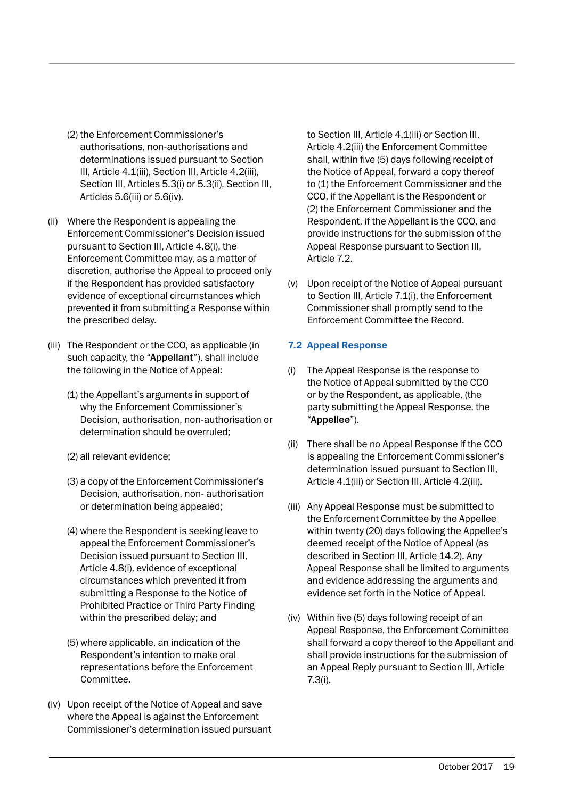- (2) the Enforcement Commissioner's authorisations, non-authorisations and determinations issued pursuant to Section III, Article 4.1(iii), Section III, Article 4.2(iii), Section III, Articles 5.3(i) or 5.3(ii), Section III, Articles 5.6(iii) or 5.6(iv).
- (ii) Where the Respondent is appealing the Enforcement Commissioner's Decision issued pursuant to Section III, Article 4.8(i), the Enforcement Committee may, as a matter of discretion, authorise the Appeal to proceed only if the Respondent has provided satisfactory evidence of exceptional circumstances which prevented it from submitting a Response within the prescribed delay.
- (iii) The Respondent or the CCO, as applicable (in such capacity, the "Appellant"), shall include the following in the Notice of Appeal:
	- (1) the Appellant's arguments in support of why the Enforcement Commissioner's Decision, authorisation, non-authorisation or determination should be overruled;
	- (2) all relevant evidence;
	- (3) a copy of the Enforcement Commissioner's Decision, authorisation, non- authorisation or determination being appealed;
	- (4) where the Respondent is seeking leave to appeal the Enforcement Commissioner's Decision issued pursuant to Section III, Article 4.8(i), evidence of exceptional circumstances which prevented it from submitting a Response to the Notice of Prohibited Practice or Third Party Finding within the prescribed delay; and
	- (5) where applicable, an indication of the Respondent's intention to make oral representations before the Enforcement Committee.
- (iv) Upon receipt of the Notice of Appeal and save where the Appeal is against the Enforcement Commissioner's determination issued pursuant

to Section III, Article 4.1(iii) or Section III, Article 4.2(iii) the Enforcement Committee shall, within five (5) days following receipt of the Notice of Appeal, forward a copy thereof to (1) the Enforcement Commissioner and the CCO, if the Appellant is the Respondent or (2) the Enforcement Commissioner and the Respondent, if the Appellant is the CCO, and provide instructions for the submission of the Appeal Response pursuant to Section III, Article 7.2.

(v) Upon receipt of the Notice of Appeal pursuant to Section III, Article 7.1(i), the Enforcement Commissioner shall promptly send to the Enforcement Committee the Record.

#### 7.2 Appeal Response

- (i) The Appeal Response is the response to the Notice of Appeal submitted by the CCO or by the Respondent, as applicable, (the party submitting the Appeal Response, the "Appellee").
- (ii) There shall be no Appeal Response if the CCO is appealing the Enforcement Commissioner's determination issued pursuant to Section III, Article 4.1(iii) or Section III, Article 4.2(iii).
- (iii) Any Appeal Response must be submitted to the Enforcement Committee by the Appellee within twenty (20) days following the Appellee's deemed receipt of the Notice of Appeal (as described in Section III, Article 14.2). Any Appeal Response shall be limited to arguments and evidence addressing the arguments and evidence set forth in the Notice of Appeal.
- (iv) Within five (5) days following receipt of an Appeal Response, the Enforcement Committee shall forward a copy thereof to the Appellant and shall provide instructions for the submission of an Appeal Reply pursuant to Section III, Article 7.3(i).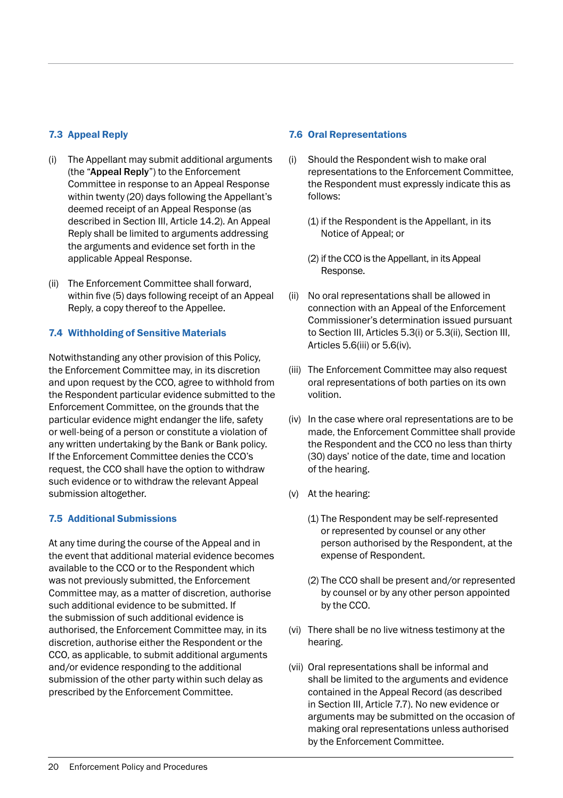#### 7.3 Appeal Reply

- (i) The Appellant may submit additional arguments (the "Appeal Reply") to the Enforcement Committee in response to an Appeal Response within twenty (20) days following the Appellant's deemed receipt of an Appeal Response (as described in Section III, Article 14.2). An Appeal Reply shall be limited to arguments addressing the arguments and evidence set forth in the applicable Appeal Response.
- (ii) The Enforcement Committee shall forward, within five (5) days following receipt of an Appeal Reply, a copy thereof to the Appellee.

#### 7.4 Withholding of Sensitive Materials

Notwithstanding any other provision of this Policy, the Enforcement Committee may, in its discretion and upon request by the CCO, agree to withhold from the Respondent particular evidence submitted to the Enforcement Committee, on the grounds that the particular evidence might endanger the life, safety or well-being of a person or constitute a violation of any written undertaking by the Bank or Bank policy. If the Enforcement Committee denies the CCO's request, the CCO shall have the option to withdraw such evidence or to withdraw the relevant Appeal submission altogether.

#### 7.5 Additional Submissions

At any time during the course of the Appeal and in the event that additional material evidence becomes available to the CCO or to the Respondent which was not previously submitted, the Enforcement Committee may, as a matter of discretion, authorise such additional evidence to be submitted. If the submission of such additional evidence is authorised, the Enforcement Committee may, in its discretion, authorise either the Respondent or the CCO, as applicable, to submit additional arguments and/or evidence responding to the additional submission of the other party within such delay as prescribed by the Enforcement Committee.

#### 7.6 Oral Representations

- (i) Should the Respondent wish to make oral representations to the Enforcement Committee, the Respondent must expressly indicate this as follows:
	- (1) if the Respondent is the Appellant, in its Notice of Appeal; or
	- (2) if the CCO is the Appellant, in its Appeal Response.
- (ii) No oral representations shall be allowed in connection with an Appeal of the Enforcement Commissioner's determination issued pursuant to Section III, Articles 5.3(i) or 5.3(ii), Section III, Articles 5.6(iii) or 5.6(iv).
- (iii) The Enforcement Committee may also request oral representations of both parties on its own volition.
- (iv) In the case where oral representations are to be made, the Enforcement Committee shall provide the Respondent and the CCO no less than thirty (30) days' notice of the date, time and location of the hearing.
- (v) At the hearing:
	- (1) The Respondent may be self-represented or represented by counsel or any other person authorised by the Respondent, at the expense of Respondent.
	- (2) The CCO shall be present and/or represented by counsel or by any other person appointed by the CCO.
- (vi) There shall be no live witness testimony at the hearing.
- (vii) Oral representations shall be informal and shall be limited to the arguments and evidence contained in the Appeal Record (as described in Section III, Article 7.7). No new evidence or arguments may be submitted on the occasion of making oral representations unless authorised by the Enforcement Committee.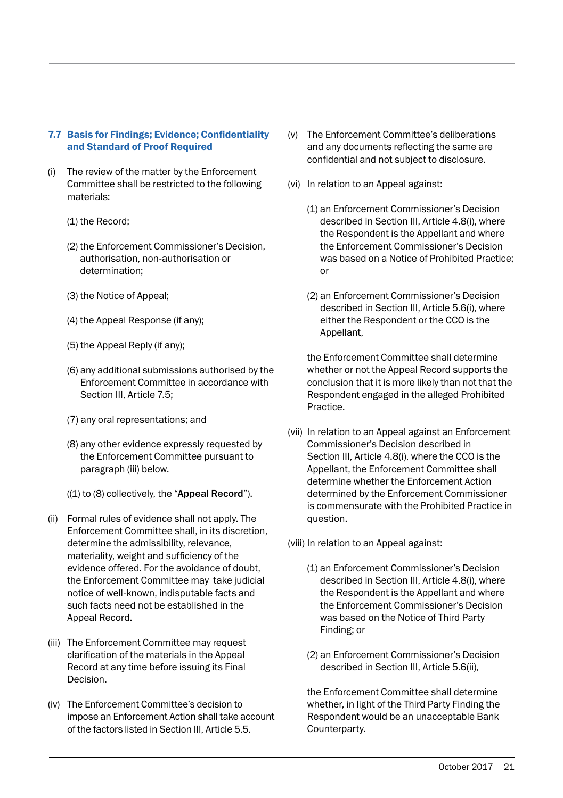#### 7.7 Basis for Findings; Evidence; Confidentiality and Standard of Proof Required

- (i) The review of the matter by the Enforcement Committee shall be restricted to the following materials:
	- (1) the Record;
	- (2) the Enforcement Commissioner's Decision, authorisation, non-authorisation or determination;
	- (3) the Notice of Appeal;
	- (4) the Appeal Response (if any);
	- (5) the Appeal Reply (if any);
	- (6) any additional submissions authorised by the Enforcement Committee in accordance with Section III, Article 7.5;
	- (7) any oral representations; and
	- (8) any other evidence expressly requested by the Enforcement Committee pursuant to paragraph (iii) below.
	- $((1)$  to  $(8)$  collectively, the "Appeal Record").
- (ii) Formal rules of evidence shall not apply. The Enforcement Committee shall, in its discretion, determine the admissibility, relevance, materiality, weight and sufficiency of the evidence offered. For the avoidance of doubt, the Enforcement Committee may take judicial notice of well-known, indisputable facts and such facts need not be established in the Appeal Record.
- (iii) The Enforcement Committee may request clarification of the materials in the Appeal Record at any time before issuing its Final Decision.
- (iv) The Enforcement Committee's decision to impose an Enforcement Action shall take account of the factors listed in Section III, Article 5.5.
- (v) The Enforcement Committee's deliberations and any documents reflecting the same are confidential and not subject to disclosure.
- (vi) In relation to an Appeal against:
	- (1) an Enforcement Commissioner's Decision described in Section III, Article 4.8(i), where the Respondent is the Appellant and where the Enforcement Commissioner's Decision was based on a Notice of Prohibited Practice; or
	- (2) an Enforcement Commissioner's Decision described in Section III, Article 5.6(i), where either the Respondent or the CCO is the Appellant,

 the Enforcement Committee shall determine whether or not the Appeal Record supports the conclusion that it is more likely than not that the Respondent engaged in the alleged Prohibited Practice.

(vii) In relation to an Appeal against an Enforcement Commissioner's Decision described in Section III, Article 4.8(i), where the CCO is the Appellant, the Enforcement Committee shall determine whether the Enforcement Action determined by the Enforcement Commissioner is commensurate with the Prohibited Practice in question.

(viii) In relation to an Appeal against:

- (1) an Enforcement Commissioner's Decision described in Section III, Article 4.8(i), where the Respondent is the Appellant and where the Enforcement Commissioner's Decision was based on the Notice of Third Party Finding; or
- (2) an Enforcement Commissioner's Decision described in Section III, Article 5.6(ii),

 the Enforcement Committee shall determine whether, in light of the Third Party Finding the Respondent would be an unacceptable Bank Counterparty.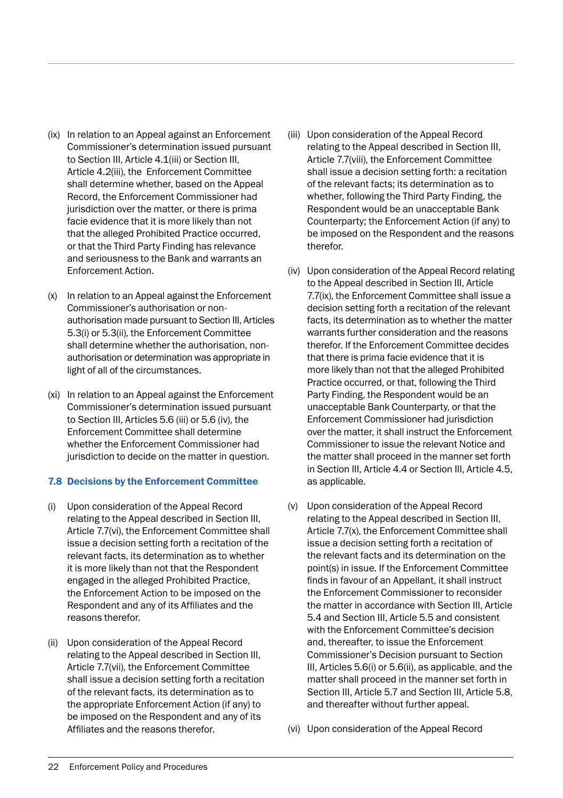- (ix) In relation to an Appeal against an Enforcement Commissioner's determination issued pursuant to Section III, Article 4.1(iii) or Section III, Article 4.2(iii), the Enforcement Committee shall determine whether, based on the Appeal Record, the Enforcement Commissioner had jurisdiction over the matter, or there is prima facie evidence that it is more likely than not that the alleged Prohibited Practice occurred, or that the Third Party Finding has relevance and seriousness to the Bank and warrants an Enforcement Action.
- (x) In relation to an Appeal against the Enforcement Commissioner's authorisation or nonauthorisation made pursuant to Section III, Articles 5.3(i) or 5.3(ii), the Enforcement Committee shall determine whether the authorisation, nonauthorisation or determination was appropriate in light of all of the circumstances.
- (xi) In relation to an Appeal against the Enforcement Commissioner's determination issued pursuant to Section III, Articles 5.6 (iii) or 5.6 (iv), the Enforcement Committee shall determine whether the Enforcement Commissioner had jurisdiction to decide on the matter in question.

#### 7.8 Decisions by the Enforcement Committee

- (i) Upon consideration of the Appeal Record relating to the Appeal described in Section III, Article 7.7(vi), the Enforcement Committee shall issue a decision setting forth a recitation of the relevant facts, its determination as to whether it is more likely than not that the Respondent engaged in the alleged Prohibited Practice, the Enforcement Action to be imposed on the Respondent and any of its Affiliates and the reasons therefor.
- (ii) Upon consideration of the Appeal Record relating to the Appeal described in Section III, Article 7.7(vii), the Enforcement Committee shall issue a decision setting forth a recitation of the relevant facts, its determination as to the appropriate Enforcement Action (if any) to be imposed on the Respondent and any of its Affiliates and the reasons therefor.
- (iii) Upon consideration of the Appeal Record relating to the Appeal described in Section III, Article 7.7(viii), the Enforcement Committee shall issue a decision setting forth: a recitation of the relevant facts; its determination as to whether, following the Third Party Finding, the Respondent would be an unacceptable Bank Counterparty; the Enforcement Action (if any) to be imposed on the Respondent and the reasons therefor.
- (iv) Upon consideration of the Appeal Record relating to the Appeal described in Section III, Article 7.7(ix), the Enforcement Committee shall issue a decision setting forth a recitation of the relevant facts, its determination as to whether the matter warrants further consideration and the reasons therefor. If the Enforcement Committee decides that there is prima facie evidence that it is more likely than not that the alleged Prohibited Practice occurred, or that, following the Third Party Finding, the Respondent would be an unacceptable Bank Counterparty, or that the Enforcement Commissioner had jurisdiction over the matter, it shall instruct the Enforcement Commissioner to issue the relevant Notice and the matter shall proceed in the manner set forth in Section III, Article 4.4 or Section III, Article 4.5, as applicable.
- (v) Upon consideration of the Appeal Record relating to the Appeal described in Section III, Article 7.7(x), the Enforcement Committee shall issue a decision setting forth a recitation of the relevant facts and its determination on the point(s) in issue. If the Enforcement Committee finds in favour of an Appellant, it shall instruct the Enforcement Commissioner to reconsider the matter in accordance with Section III, Article 5.4 and Section III, Article 5.5 and consistent with the Enforcement Committee's decision and, thereafter, to issue the Enforcement Commissioner's Decision pursuant to Section III, Articles 5.6(i) or 5.6(ii), as applicable, and the matter shall proceed in the manner set forth in Section III, Article 5.7 and Section III, Article 5.8, and thereafter without further appeal.
- (vi) Upon consideration of the Appeal Record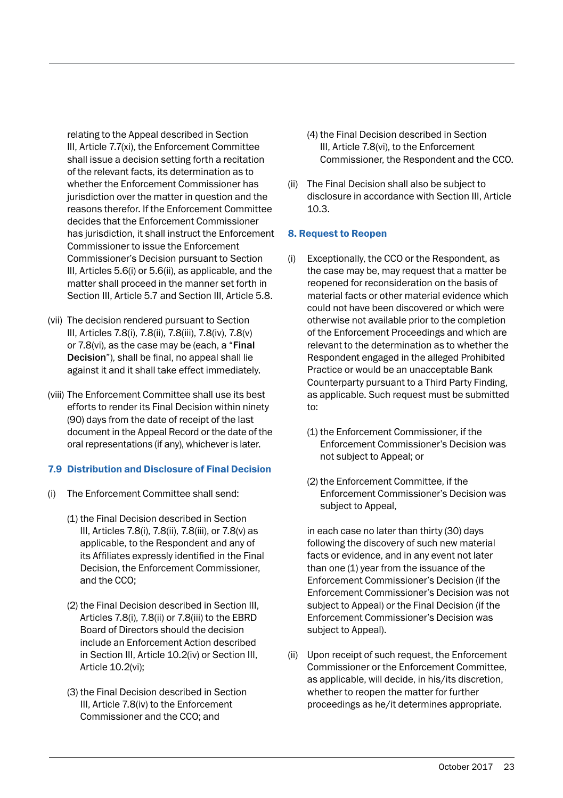relating to the Appeal described in Section III, Article 7.7(xi), the Enforcement Committee shall issue a decision setting forth a recitation of the relevant facts, its determination as to whether the Enforcement Commissioner has jurisdiction over the matter in question and the reasons therefor. If the Enforcement Committee decides that the Enforcement Commissioner has jurisdiction, it shall instruct the Enforcement Commissioner to issue the Enforcement Commissioner's Decision pursuant to Section III, Articles 5.6(i) or 5.6(ii), as applicable, and the matter shall proceed in the manner set forth in Section III, Article 5.7 and Section III, Article 5.8.

- (vii) The decision rendered pursuant to Section III, Articles 7.8(i), 7.8(ii), 7.8(iii), 7.8(iv), 7.8(v) or 7.8(vi), as the case may be (each, a "Final Decision"), shall be final, no appeal shall lie against it and it shall take effect immediately.
- (viii) The Enforcement Committee shall use its best efforts to render its Final Decision within ninety (90) days from the date of receipt of the last document in the Appeal Record or the date of the oral representations (if any), whichever is later.

#### 7.9 Distribution and Disclosure of Final Decision

- (i) The Enforcement Committee shall send:
	- (1) the Final Decision described in Section III, Articles 7.8(i), 7.8(ii), 7.8(iii), or 7.8(v) as applicable, to the Respondent and any of its Affiliates expressly identified in the Final Decision, the Enforcement Commissioner, and the CCO;
	- (2) the Final Decision described in Section III, Articles 7.8(i), 7.8(ii) or 7.8(iii) to the EBRD Board of Directors should the decision include an Enforcement Action described in Section III, Article 10.2(iv) or Section III, Article 10.2(vi);
	- (3) the Final Decision described in Section III, Article 7.8(iv) to the Enforcement Commissioner and the CCO; and
- (4) the Final Decision described in Section III, Article 7.8(vi), to the Enforcement Commissioner, the Respondent and the CCO.
- (ii) The Final Decision shall also be subject to disclosure in accordance with Section III, Article 10.3.

#### 8. Request to Reopen

- (i) Exceptionally, the CCO or the Respondent, as the case may be, may request that a matter be reopened for reconsideration on the basis of material facts or other material evidence which could not have been discovered or which were otherwise not available prior to the completion of the Enforcement Proceedings and which are relevant to the determination as to whether the Respondent engaged in the alleged Prohibited Practice or would be an unacceptable Bank Counterparty pursuant to a Third Party Finding, as applicable. Such request must be submitted to:
	- (1) the Enforcement Commissioner, if the Enforcement Commissioner's Decision was not subject to Appeal; or
	- (2) the Enforcement Committee, if the Enforcement Commissioner's Decision was subject to Appeal,

 in each case no later than thirty (30) days following the discovery of such new material facts or evidence, and in any event not later than one (1) year from the issuance of the Enforcement Commissioner's Decision (if the Enforcement Commissioner's Decision was not subject to Appeal) or the Final Decision (if the Enforcement Commissioner's Decision was subject to Appeal).

(ii) Upon receipt of such request, the Enforcement Commissioner or the Enforcement Committee, as applicable, will decide, in his/its discretion, whether to reopen the matter for further proceedings as he/it determines appropriate.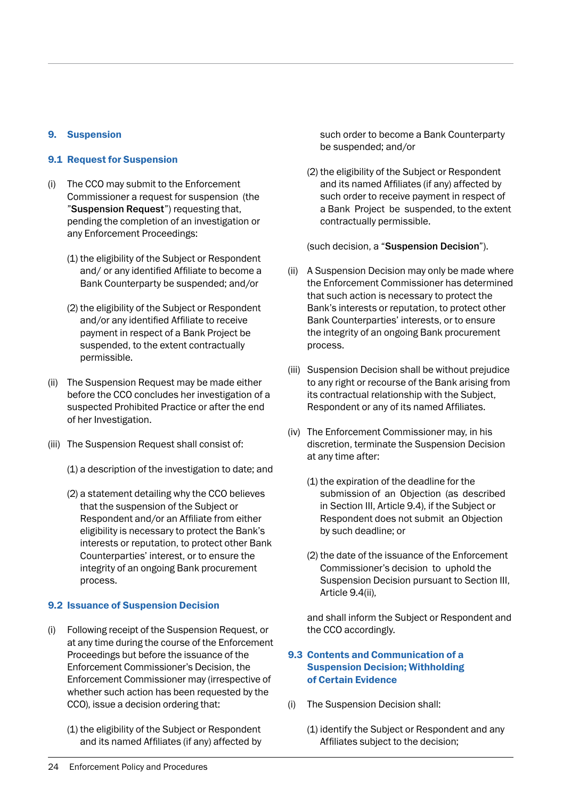#### 9. Suspension

#### 9.1 Request for Suspension

- (i) The CCO may submit to the Enforcement Commissioner a request for suspension (the "Suspension Request") requesting that, pending the completion of an investigation or any Enforcement Proceedings:
	- (1) the eligibility of the Subject or Respondent and/ or any identified Affiliate to become a Bank Counterparty be suspended; and/or
	- (2) the eligibility of the Subject or Respondent and/or any identified Affiliate to receive payment in respect of a Bank Project be suspended, to the extent contractually permissible.
- (ii) The Suspension Request may be made either before the CCO concludes her investigation of a suspected Prohibited Practice or after the end of her Investigation.
- (iii) The Suspension Request shall consist of:
	- (1) a description of the investigation to date; and
	- (2) a statement detailing why the CCO believes that the suspension of the Subject or Respondent and/or an Affiliate from either eligibility is necessary to protect the Bank's interests or reputation, to protect other Bank Counterparties' interest, or to ensure the integrity of an ongoing Bank procurement process.

#### 9.2 Issuance of Suspension Decision

- (i) Following receipt of the Suspension Request, or at any time during the course of the Enforcement Proceedings but before the issuance of the Enforcement Commissioner's Decision, the Enforcement Commissioner may (irrespective of whether such action has been requested by the CCO), issue a decision ordering that:
	- (1) the eligibility of the Subject or Respondent and its named Affiliates (if any) affected by

such order to become a Bank Counterparty be suspended; and/or

(2) the eligibility of the Subject or Respondent and its named Affiliates (if any) affected by such order to receive payment in respect of a Bank Project be suspended, to the extent contractually permissible.

(such decision, a "Suspension Decision").

- (ii) A Suspension Decision may only be made where the Enforcement Commissioner has determined that such action is necessary to protect the Bank's interests or reputation, to protect other Bank Counterparties' interests, or to ensure the integrity of an ongoing Bank procurement process.
- (iii) Suspension Decision shall be without prejudice to any right or recourse of the Bank arising from its contractual relationship with the Subject, Respondent or any of its named Affiliates.
- (iv) The Enforcement Commissioner may, in his discretion, terminate the Suspension Decision at any time after:
	- (1) the expiration of the deadline for the submission of an Objection (as described in Section III, Article 9.4), if the Subject or Respondent does not submit an Objection by such deadline; or
	- (2) the date of the issuance of the Enforcement Commissioner's decision to uphold the Suspension Decision pursuant to Section III, Article 9.4(ii),

 and shall inform the Subject or Respondent and the CCO accordingly.

#### 9.3 Contents and Communication of a Suspension Decision; Withholding of Certain Evidence

- (i) The Suspension Decision shall:
	- (1) identify the Subject or Respondent and any Affiliates subject to the decision;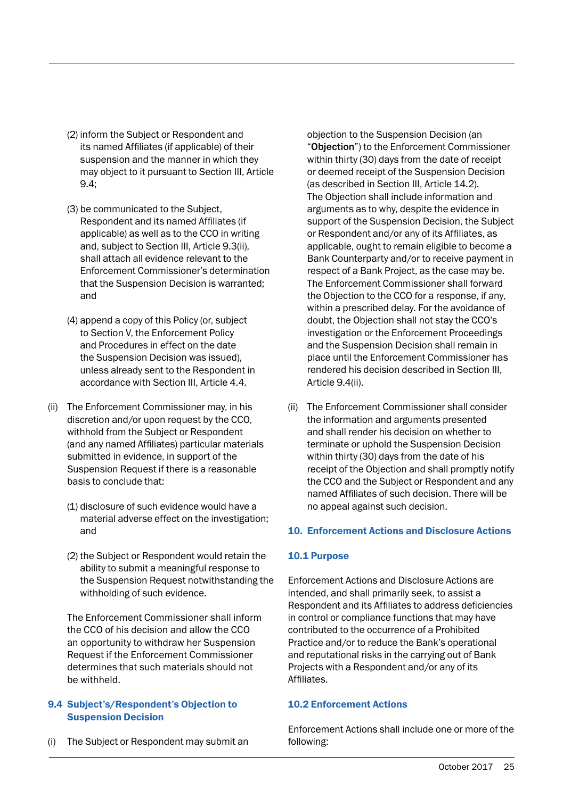- (2) inform the Subject or Respondent and its named Affiliates (if applicable) of their suspension and the manner in which they may object to it pursuant to Section III, Article 9.4;
- (3) be communicated to the Subject, Respondent and its named Affiliates (if applicable) as well as to the CCO in writing and, subject to Section III, Article 9.3(ii), shall attach all evidence relevant to the Enforcement Commissioner's determination that the Suspension Decision is warranted; and
- (4) append a copy of this Policy (or, subject to Section V, the Enforcement Policy and Procedures in effect on the date the Suspension Decision was issued), unless already sent to the Respondent in accordance with Section III, Article 4.4.
- (ii) The Enforcement Commissioner may, in his discretion and/or upon request by the CCO, withhold from the Subject or Respondent (and any named Affiliates) particular materials submitted in evidence, in support of the Suspension Request if there is a reasonable basis to conclude that:
	- (1) disclosure of such evidence would have a material adverse effect on the investigation; and
	- (2) the Subject or Respondent would retain the ability to submit a meaningful response to the Suspension Request notwithstanding the withholding of such evidence.

 The Enforcement Commissioner shall inform the CCO of his decision and allow the CCO an opportunity to withdraw her Suspension Request if the Enforcement Commissioner determines that such materials should not be withheld.

#### 9.4 Subject's/Respondent's Objection to Suspension Decision

The Subject or Respondent may submit an

objection to the Suspension Decision (an "Objection") to the Enforcement Commissioner within thirty (30) days from the date of receipt or deemed receipt of the Suspension Decision (as described in Section III, Article 14.2). The Objection shall include information and arguments as to why, despite the evidence in support of the Suspension Decision, the Subject or Respondent and/or any of its Affiliates, as applicable, ought to remain eligible to become a Bank Counterparty and/or to receive payment in respect of a Bank Project, as the case may be. The Enforcement Commissioner shall forward the Objection to the CCO for a response, if any, within a prescribed delay. For the avoidance of doubt, the Objection shall not stay the CCO's investigation or the Enforcement Proceedings and the Suspension Decision shall remain in place until the Enforcement Commissioner has rendered his decision described in Section III, Article 9.4(ii).

(ii) The Enforcement Commissioner shall consider the information and arguments presented and shall render his decision on whether to terminate or uphold the Suspension Decision within thirty (30) days from the date of his receipt of the Objection and shall promptly notify the CCO and the Subject or Respondent and any named Affiliates of such decision. There will be no appeal against such decision.

#### 10. Enforcement Actions and Disclosure Actions

#### 10.1 Purpose

Enforcement Actions and Disclosure Actions are intended, and shall primarily seek, to assist a Respondent and its Affiliates to address deficiencies in control or compliance functions that may have contributed to the occurrence of a Prohibited Practice and/or to reduce the Bank's operational and reputational risks in the carrying out of Bank Projects with a Respondent and/or any of its Affiliates.

#### 10.2 Enforcement Actions

Enforcement Actions shall include one or more of the following: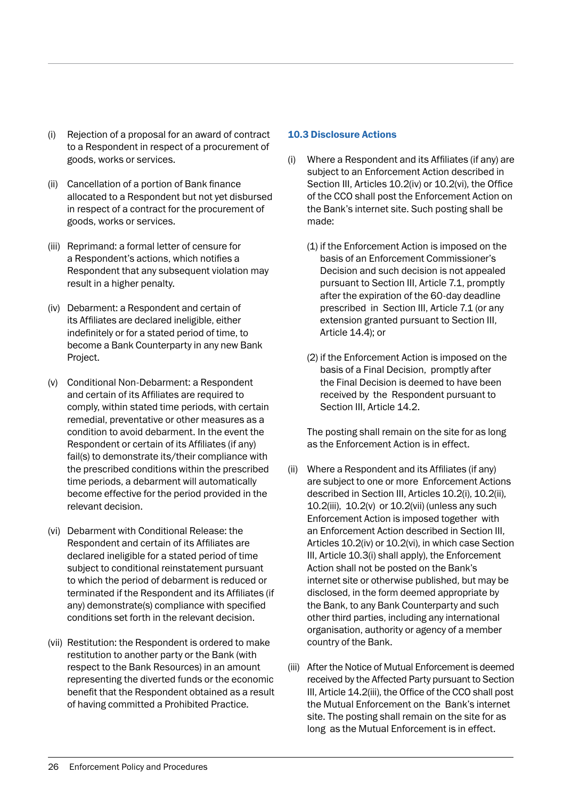- (i) Rejection of a proposal for an award of contract to a Respondent in respect of a procurement of goods, works or services.
- (ii) Cancellation of a portion of Bank finance allocated to a Respondent but not yet disbursed in respect of a contract for the procurement of goods, works or services.
- (iii) Reprimand: a formal letter of censure for a Respondent's actions, which notifies a Respondent that any subsequent violation may result in a higher penalty.
- (iv) Debarment: a Respondent and certain of its Affiliates are declared ineligible, either indefinitely or for a stated period of time, to become a Bank Counterparty in any new Bank Project.
- (v) Conditional Non-Debarment: a Respondent and certain of its Affiliates are required to comply, within stated time periods, with certain remedial, preventative or other measures as a condition to avoid debarment. In the event the Respondent or certain of its Affiliates (if any) fail(s) to demonstrate its/their compliance with the prescribed conditions within the prescribed time periods, a debarment will automatically become effective for the period provided in the relevant decision.
- (vi) Debarment with Conditional Release: the Respondent and certain of its Affiliates are declared ineligible for a stated period of time subject to conditional reinstatement pursuant to which the period of debarment is reduced or terminated if the Respondent and its Affiliates (if any) demonstrate(s) compliance with specified conditions set forth in the relevant decision.
- (vii) Restitution: the Respondent is ordered to make restitution to another party or the Bank (with respect to the Bank Resources) in an amount representing the diverted funds or the economic benefit that the Respondent obtained as a result of having committed a Prohibited Practice.

#### 10.3 Disclosure Actions

- (i) Where a Respondent and its Affiliates (if any) are subject to an Enforcement Action described in Section III, Articles 10.2(iv) or 10.2(vi), the Office of the CCO shall post the Enforcement Action on the Bank's internet site. Such posting shall be made:
	- (1) if the Enforcement Action is imposed on the basis of an Enforcement Commissioner's Decision and such decision is not appealed pursuant to Section III, Article 7.1, promptly after the expiration of the 60-day deadline prescribed in Section III, Article 7.1 (or any extension granted pursuant to Section III, Article 14.4); or
	- (2) if the Enforcement Action is imposed on the basis of a Final Decision, promptly after the Final Decision is deemed to have been received by the Respondent pursuant to Section III, Article 14.2.

 The posting shall remain on the site for as long as the Enforcement Action is in effect.

- (ii) Where a Respondent and its Affiliates (if any) are subject to one or more Enforcement Actions described in Section III, Articles 10.2(i), 10.2(ii), 10.2(iii), 10.2(v) or 10.2(vii) (unless any such Enforcement Action is imposed together with an Enforcement Action described in Section III, Articles 10.2(iv) or 10.2(vi), in which case Section III, Article 10.3(i) shall apply), the Enforcement Action shall not be posted on the Bank's internet site or otherwise published, but may be disclosed, in the form deemed appropriate by the Bank, to any Bank Counterparty and such other third parties, including any international organisation, authority or agency of a member country of the Bank.
- (iii) After the Notice of Mutual Enforcement is deemed received by the Affected Party pursuant to Section III, Article 14.2(iii), the Office of the CCO shall post the Mutual Enforcement on the Bank's internet site. The posting shall remain on the site for as long as the Mutual Enforcement is in effect.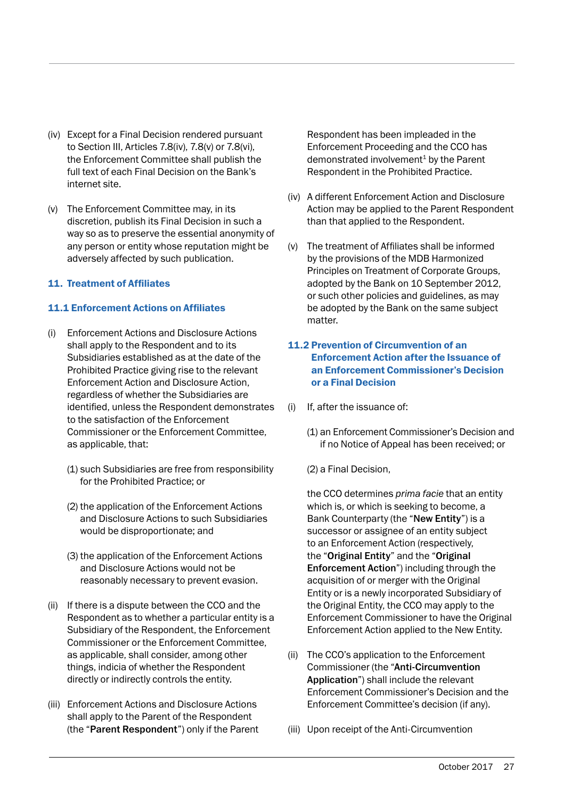- (iv) Except for a Final Decision rendered pursuant to Section III, Articles 7.8(iv), 7.8(v) or 7.8(vi), the Enforcement Committee shall publish the full text of each Final Decision on the Bank's internet site.
- (v) The Enforcement Committee may, in its discretion, publish its Final Decision in such a way so as to preserve the essential anonymity of any person or entity whose reputation might be adversely affected by such publication.

#### 11. Treatment of Affiliates

#### 11.1 Enforcement Actions on Affiliates

- (i) Enforcement Actions and Disclosure Actions shall apply to the Respondent and to its Subsidiaries established as at the date of the Prohibited Practice giving rise to the relevant Enforcement Action and Disclosure Action, regardless of whether the Subsidiaries are identified, unless the Respondent demonstrates to the satisfaction of the Enforcement Commissioner or the Enforcement Committee, as applicable, that:
	- (1) such Subsidiaries are free from responsibility for the Prohibited Practice; or
	- (2) the application of the Enforcement Actions and Disclosure Actions to such Subsidiaries would be disproportionate; and
	- (3) the application of the Enforcement Actions and Disclosure Actions would not be reasonably necessary to prevent evasion.
- (ii) If there is a dispute between the CCO and the Respondent as to whether a particular entity is a Subsidiary of the Respondent, the Enforcement Commissioner or the Enforcement Committee, as applicable, shall consider, among other things, indicia of whether the Respondent directly or indirectly controls the entity.
- (iii) Enforcement Actions and Disclosure Actions shall apply to the Parent of the Respondent (the "Parent Respondent") only if the Parent

Respondent has been impleaded in the Enforcement Proceeding and the CCO has demonstrated involvement<sup>1</sup> by the Parent Respondent in the Prohibited Practice.

- (iv) A different Enforcement Action and Disclosure Action may be applied to the Parent Respondent than that applied to the Respondent.
- (v) The treatment of Affiliates shall be informed by the provisions of the MDB Harmonized Principles on Treatment of Corporate Groups, adopted by the Bank on 10 September 2012, or such other policies and guidelines, as may be adopted by the Bank on the same subject matter.

#### 11.2 Prevention of Circumvention of an Enforcement Action after the Issuance of an Enforcement Commissioner's Decision or a Final Decision

- (i) If, after the issuance of:
	- (1) an Enforcement Commissioner's Decision and if no Notice of Appeal has been received; or
	- (2) a Final Decision,

 the CCO determines *prima facie* that an entity which is, or which is seeking to become, a Bank Counterparty (the "New Entity") is a successor or assignee of an entity subject to an Enforcement Action (respectively, the "Original Entity" and the "Original Enforcement Action") including through the acquisition of or merger with the Original Entity or is a newly incorporated Subsidiary of the Original Entity, the CCO may apply to the Enforcement Commissioner to have the Original Enforcement Action applied to the New Entity.

- (ii) The CCO's application to the Enforcement Commissioner (the "Anti-Circumvention Application") shall include the relevant Enforcement Commissioner's Decision and the Enforcement Committee's decision (if any).
- (iii) Upon receipt of the Anti-Circumvention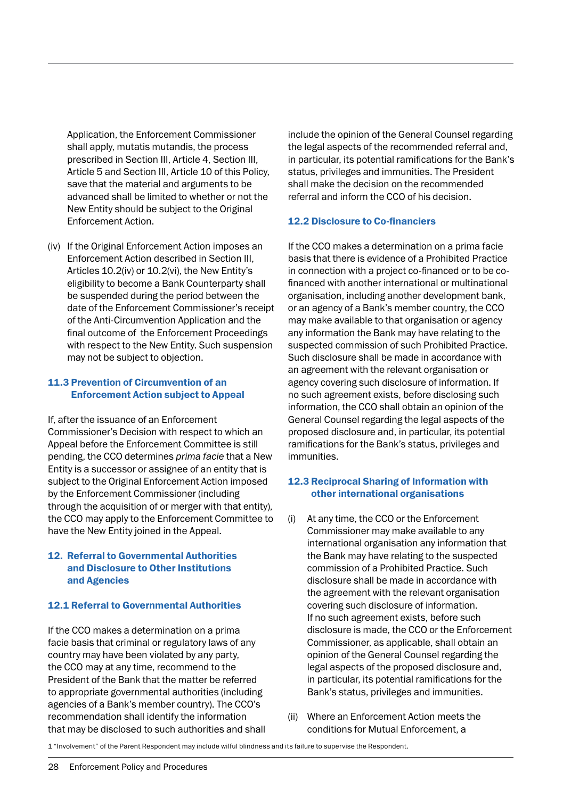Application, the Enforcement Commissioner shall apply, mutatis mutandis, the process prescribed in Section III, Article 4, Section III, Article 5 and Section III, Article 10 of this Policy, save that the material and arguments to be advanced shall be limited to whether or not the New Entity should be subject to the Original Enforcement Action.

(iv) If the Original Enforcement Action imposes an Enforcement Action described in Section III, Articles 10.2(iv) or 10.2(vi), the New Entity's eligibility to become a Bank Counterparty shall be suspended during the period between the date of the Enforcement Commissioner's receipt of the Anti-Circumvention Application and the final outcome of the Enforcement Proceedings with respect to the New Entity. Such suspension may not be subject to objection.

#### 11.3 Prevention of Circumvention of an Enforcement Action subject to Appeal

If, after the issuance of an Enforcement Commissioner's Decision with respect to which an Appeal before the Enforcement Committee is still pending, the CCO determines *prima facie* that a New Entity is a successor or assignee of an entity that is subject to the Original Enforcement Action imposed by the Enforcement Commissioner (including through the acquisition of or merger with that entity), the CCO may apply to the Enforcement Committee to have the New Entity joined in the Appeal.

#### 12. Referral to Governmental Authorities and Disclosure to Other Institutions and Agencies

#### 12.1 Referral to Governmental Authorities

If the CCO makes a determination on a prima facie basis that criminal or regulatory laws of any country may have been violated by any party, the CCO may at any time, recommend to the President of the Bank that the matter be referred to appropriate governmental authorities (including agencies of a Bank's member country). The CCO's recommendation shall identify the information that may be disclosed to such authorities and shall

include the opinion of the General Counsel regarding the legal aspects of the recommended referral and, in particular, its potential ramifications for the Bank's status, privileges and immunities. The President shall make the decision on the recommended referral and inform the CCO of his decision.

#### 12.2 Disclosure to Co-financiers

If the CCO makes a determination on a prima facie basis that there is evidence of a Prohibited Practice in connection with a project co-financed or to be cofinanced with another international or multinational organisation, including another development bank, or an agency of a Bank's member country, the CCO may make available to that organisation or agency any information the Bank may have relating to the suspected commission of such Prohibited Practice. Such disclosure shall be made in accordance with an agreement with the relevant organisation or agency covering such disclosure of information. If no such agreement exists, before disclosing such information, the CCO shall obtain an opinion of the General Counsel regarding the legal aspects of the proposed disclosure and, in particular, its potential ramifications for the Bank's status, privileges and immunities.

#### 12.3 Reciprocal Sharing of Information with other international organisations

- (i) At any time, the CCO or the Enforcement Commissioner may make available to any international organisation any information that the Bank may have relating to the suspected commission of a Prohibited Practice. Such disclosure shall be made in accordance with the agreement with the relevant organisation covering such disclosure of information. If no such agreement exists, before such disclosure is made, the CCO or the Enforcement Commissioner, as applicable, shall obtain an opinion of the General Counsel regarding the legal aspects of the proposed disclosure and, in particular, its potential ramifications for the Bank's status, privileges and immunities.
- (ii) Where an Enforcement Action meets the conditions for Mutual Enforcement, a

1 "Involvement" of the Parent Respondent may include wilful blindness and its failure to supervise the Respondent.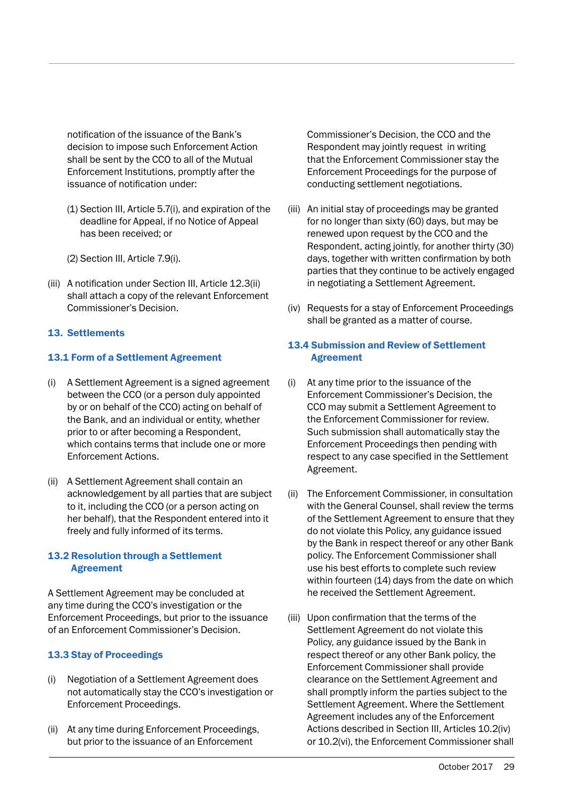notification of the issuance of the Bank's decision to impose such Enforcement Action shall be sent by the CCO to all of the Mutual Enforcement Institutions, promptly after the issuance of notification under:

- (1) Section III, Article 5.7(i), and expiration of the deadline for Appeal, if no Notice of Appeal has been received; or
- (2) Section III, Article 7.9(i).
- (iii) A notification under Section III, Article 12.3(ii) shall attach a copy of the relevant Enforcement Commissioner's Decision.

#### 13. Settlements

#### 13.1 Form of a Settlement Agreement

- (i) A Settlement Agreement is a signed agreement between the CCO (or a person duly appointed by or on behalf of the CCO) acting on behalf of the Bank, and an individual or entity, whether prior to or after becoming a Respondent, which contains terms that include one or more Enforcement Actions.
- (ii) A Settlement Agreement shall contain an acknowledgement by all parties that are subject to it, including the CCO (or a person acting on her behalf), that the Respondent entered into it freely and fully informed of its terms.

#### 13.2 Resolution through a Settlement Agreement

A Settlement Agreement may be concluded at any time during the CCO's investigation or the Enforcement Proceedings, but prior to the issuance of an Enforcement Commissioner's Decision.

#### 13.3 Stay of Proceedings

- (i) Negotiation of a Settlement Agreement does not automatically stay the CCO's investigation or Enforcement Proceedings.
- (ii) At any time during Enforcement Proceedings, but prior to the issuance of an Enforcement

Commissioner's Decision, the CCO and the Respondent may jointly request in writing that the Enforcement Commissioner stay the Enforcement Proceedings for the purpose of conducting settlement negotiations.

- (iii) An initial stay of proceedings may be granted for no longer than sixty (60) days, but may be renewed upon request by the CCO and the Respondent, acting jointly, for another thirty (30) days, together with written confirmation by both parties that they continue to be actively engaged in negotiating a Settlement Agreement.
- (iv) Requests for a stay of Enforcement Proceedings shall be granted as a matter of course.

#### 13.4 Submission and Review of Settlement Agreement

- (i) At any time prior to the issuance of the Enforcement Commissioner's Decision, the CCO may submit a Settlement Agreement to the Enforcement Commissioner for review. Such submission shall automatically stay the Enforcement Proceedings then pending with respect to any case specified in the Settlement Agreement.
- (ii) The Enforcement Commissioner, in consultation with the General Counsel, shall review the terms of the Settlement Agreement to ensure that they do not violate this Policy, any guidance issued by the Bank in respect thereof or any other Bank policy. The Enforcement Commissioner shall use his best efforts to complete such review within fourteen (14) days from the date on which he received the Settlement Agreement.
- (iii) Upon confirmation that the terms of the Settlement Agreement do not violate this Policy, any guidance issued by the Bank in respect thereof or any other Bank policy, the Enforcement Commissioner shall provide clearance on the Settlement Agreement and shall promptly inform the parties subject to the Settlement Agreement. Where the Settlement Agreement includes any of the Enforcement Actions described in Section III, Articles 10.2(iv) or 10.2(vi), the Enforcement Commissioner shall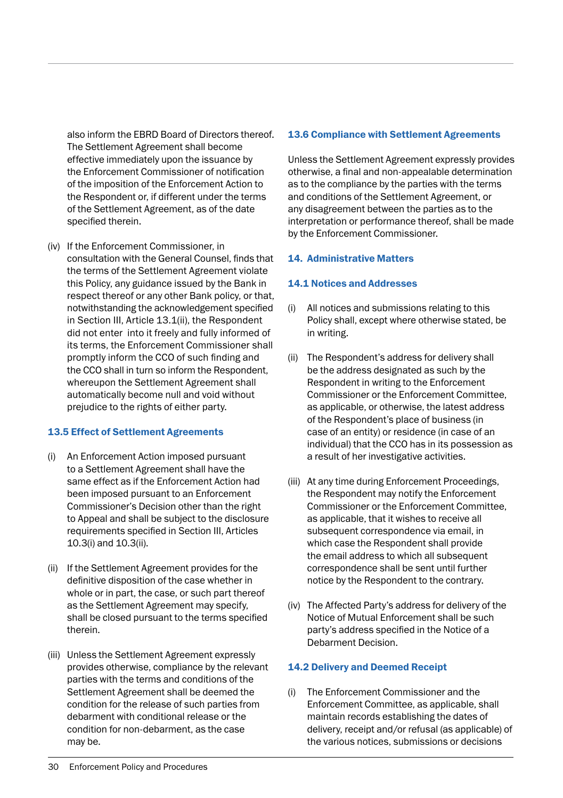also inform the EBRD Board of Directors thereof. The Settlement Agreement shall become effective immediately upon the issuance by the Enforcement Commissioner of notification of the imposition of the Enforcement Action to the Respondent or, if different under the terms of the Settlement Agreement, as of the date specified therein.

(iv) If the Enforcement Commissioner, in consultation with the General Counsel, finds that the terms of the Settlement Agreement violate this Policy, any guidance issued by the Bank in respect thereof or any other Bank policy, or that, notwithstanding the acknowledgement specified in Section III, Article 13.1(ii), the Respondent did not enter into it freely and fully informed of its terms, the Enforcement Commissioner shall promptly inform the CCO of such finding and the CCO shall in turn so inform the Respondent, whereupon the Settlement Agreement shall automatically become null and void without prejudice to the rights of either party.

#### 13.5 Effect of Settlement Agreements

- (i) An Enforcement Action imposed pursuant to a Settlement Agreement shall have the same effect as if the Enforcement Action had been imposed pursuant to an Enforcement Commissioner's Decision other than the right to Appeal and shall be subject to the disclosure requirements specified in Section III, Articles 10.3(i) and 10.3(ii).
- (ii) If the Settlement Agreement provides for the definitive disposition of the case whether in whole or in part, the case, or such part thereof as the Settlement Agreement may specify, shall be closed pursuant to the terms specified therein.
- (iii) Unless the Settlement Agreement expressly provides otherwise, compliance by the relevant parties with the terms and conditions of the Settlement Agreement shall be deemed the condition for the release of such parties from debarment with conditional release or the condition for non-debarment, as the case may be.

#### 13.6 Compliance with Settlement Agreements

Unless the Settlement Agreement expressly provides otherwise, a final and non-appealable determination as to the compliance by the parties with the terms and conditions of the Settlement Agreement, or any disagreement between the parties as to the interpretation or performance thereof, shall be made by the Enforcement Commissioner.

#### 14. Administrative Matters

#### 14.1 Notices and Addresses

- (i) All notices and submissions relating to this Policy shall, except where otherwise stated, be in writing.
- (ii) The Respondent's address for delivery shall be the address designated as such by the Respondent in writing to the Enforcement Commissioner or the Enforcement Committee, as applicable, or otherwise, the latest address of the Respondent's place of business (in case of an entity) or residence (in case of an individual) that the CCO has in its possession as a result of her investigative activities.
- (iii) At any time during Enforcement Proceedings, the Respondent may notify the Enforcement Commissioner or the Enforcement Committee, as applicable, that it wishes to receive all subsequent correspondence via email, in which case the Respondent shall provide the email address to which all subsequent correspondence shall be sent until further notice by the Respondent to the contrary.
- (iv) The Affected Party's address for delivery of the Notice of Mutual Enforcement shall be such party's address specified in the Notice of a Debarment Decision.

#### 14.2 Delivery and Deemed Receipt

(i) The Enforcement Commissioner and the Enforcement Committee, as applicable, shall maintain records establishing the dates of delivery, receipt and/or refusal (as applicable) of the various notices, submissions or decisions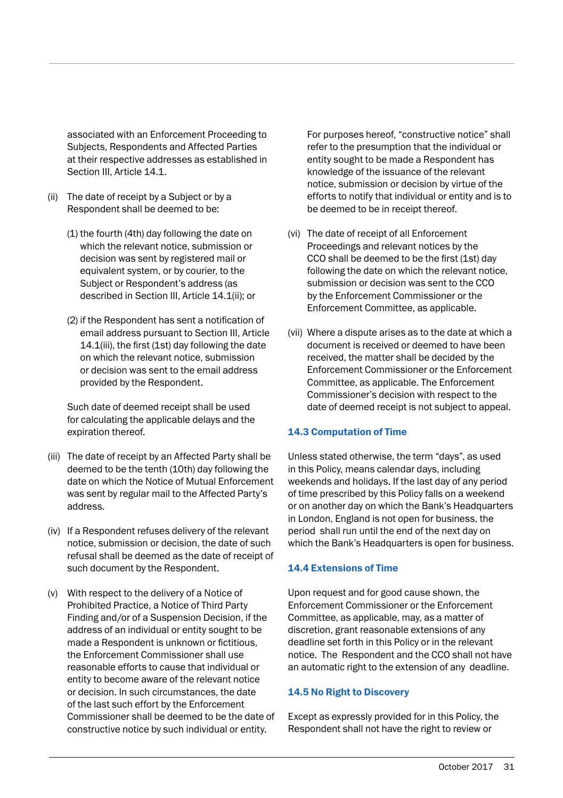associated with an Enforcement Proceeding to Subjects, Respondents and Affected Parties at their respective addresses as established in Section III, Article 14.1.

- (ii) The date of receipt by a Subject or by a Respondent shall be deemed to be:
	- (1) the fourth (4th) day following the date on which the relevant notice, submission or decision was sent by registered mail or equivalent system, or by courier, to the Subject or Respondent's address (as described in Section III, Article 14.1(ii); or
	- (2) if the Respondent has sent a notification of email address pursuant to Section III, Article 14.1(iii), the first (1st) day following the date on which the relevant notice, submission or decision was sent to the email address provided by the Respondent.

 Such date of deemed receipt shall be used for calculating the applicable delays and the expiration thereof.

- (iii) The date of receipt by an Affected Party shall be deemed to be the tenth (10th) day following the date on which the Notice of Mutual Enforcement was sent by regular mail to the Affected Party's address.
- (iv) If a Respondent refuses delivery of the relevant notice, submission or decision, the date of such refusal shall be deemed as the date of receipt of such document by the Respondent.
- (v) With respect to the delivery of a Notice of Prohibited Practice, a Notice of Third Party Finding and/or of a Suspension Decision, if the address of an individual or entity sought to be made a Respondent is unknown or fictitious, the Enforcement Commissioner shall use reasonable efforts to cause that individual or entity to become aware of the relevant notice or decision. In such circumstances, the date of the last such effort by the Enforcement Commissioner shall be deemed to be the date of constructive notice by such individual or entity.

For purposes hereof, "constructive notice" shall refer to the presumption that the individual or entity sought to be made a Respondent has knowledge of the issuance of the relevant notice, submission or decision by virtue of the efforts to notify that individual or entity and is to be deemed to be in receipt thereof.

- (vi) The date of receipt of all Enforcement Proceedings and relevant notices by the CCO shall be deemed to be the first (1st) day following the date on which the relevant notice, submission or decision was sent to the CCO by the Enforcement Commissioner or the Enforcement Committee, as applicable.
- (vii) Where a dispute arises as to the date at which a document is received or deemed to have been received, the matter shall be decided by the Enforcement Commissioner or the Enforcement Committee, as applicable. The Enforcement Commissioner's decision with respect to the date of deemed receipt is not subject to appeal.

#### 14.3 Computation of Time

Unless stated otherwise, the term "days", as used in this Policy, means calendar days, including weekends and holidays. If the last day of any period of time prescribed by this Policy falls on a weekend or on another day on which the Bank's Headquarters in London, England is not open for business, the period shall run until the end of the next day on which the Bank's Headquarters is open for business.

#### 14.4 Extensions of Time

Upon request and for good cause shown, the Enforcement Commissioner or the Enforcement Committee, as applicable, may, as a matter of discretion, grant reasonable extensions of any deadline set forth in this Policy or in the relevant notice. The Respondent and the CCO shall not have an automatic right to the extension of any deadline.

#### 14.5 No Right to Discovery

Except as expressly provided for in this Policy, the Respondent shall not have the right to review or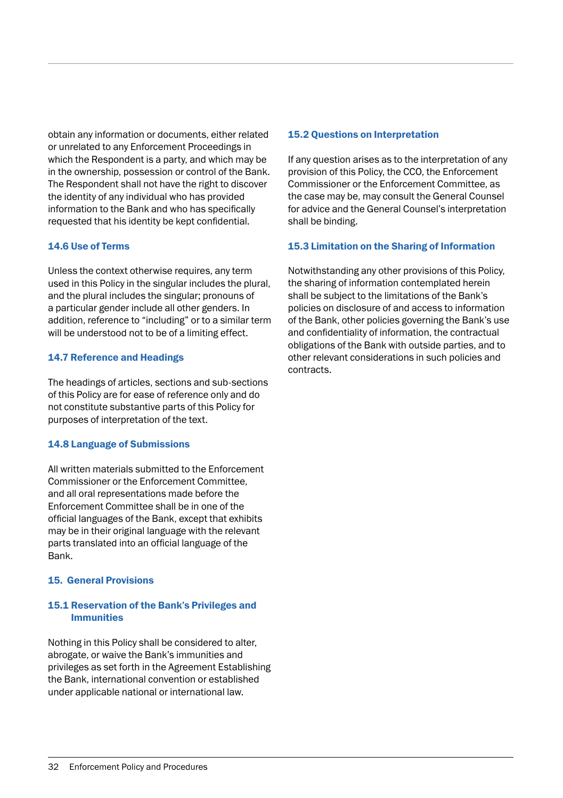obtain any information or documents, either related or unrelated to any Enforcement Proceedings in which the Respondent is a party, and which may be in the ownership, possession or control of the Bank. The Respondent shall not have the right to discover the identity of any individual who has provided information to the Bank and who has specifically requested that his identity be kept confidential.

#### 14.6 Use of Terms

Unless the context otherwise requires, any term used in this Policy in the singular includes the plural, and the plural includes the singular; pronouns of a particular gender include all other genders. In addition, reference to "including" or to a similar term will be understood not to be of a limiting effect.

#### 14.7 Reference and Headings

The headings of articles, sections and sub-sections of this Policy are for ease of reference only and do not constitute substantive parts of this Policy for purposes of interpretation of the text.

#### 14.8 Language of Submissions

All written materials submitted to the Enforcement Commissioner or the Enforcement Committee, and all oral representations made before the Enforcement Committee shall be in one of the official languages of the Bank, except that exhibits may be in their original language with the relevant parts translated into an official language of the Bank.

#### 15. General Provisions

#### 15.1 Reservation of the Bank's Privileges and Immunities

Nothing in this Policy shall be considered to alter, abrogate, or waive the Bank's immunities and privileges as set forth in the Agreement Establishing the Bank, international convention or established under applicable national or international law.

#### 15.2 Questions on Interpretation

If any question arises as to the interpretation of any provision of this Policy, the CCO, the Enforcement Commissioner or the Enforcement Committee, as the case may be, may consult the General Counsel for advice and the General Counsel's interpretation shall be binding.

#### 15.3 Limitation on the Sharing of Information

Notwithstanding any other provisions of this Policy, the sharing of information contemplated herein shall be subject to the limitations of the Bank's policies on disclosure of and access to information of the Bank, other policies governing the Bank's use and confidentiality of information, the contractual obligations of the Bank with outside parties, and to other relevant considerations in such policies and contracts.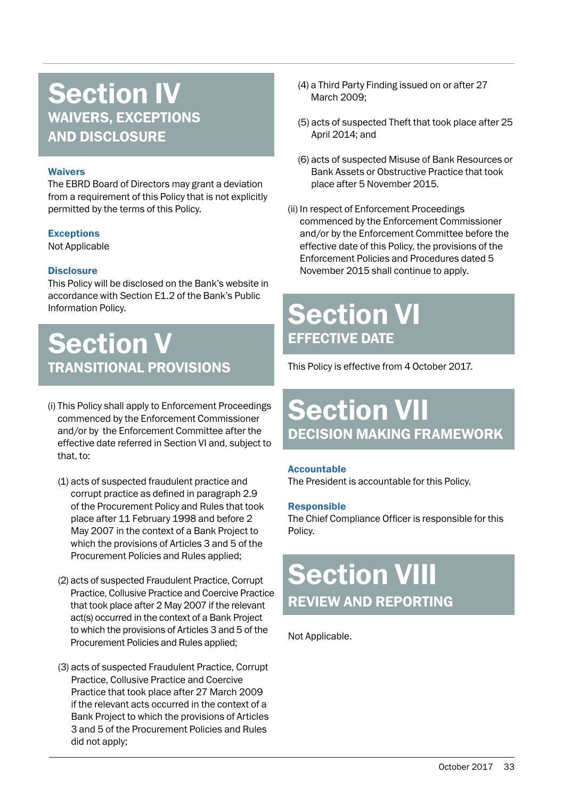### Section IV WAIVERS, EXCEPTIONS AND DISCLOSURE

#### Waivers

The EBRD Board of Directors may grant a deviation from a requirement of this Policy that is not explicitly permitted by the terms of this Policy.

#### **Exceptions**

Not Applicable

#### **Disclosure**

This Policy will be disclosed on the Bank's website in accordance with Section E1.2 of the Bank's Public Information Policy.

### Section V TRANSITIONAL PROVISIONS

- (i) This Policy shall apply to Enforcement Proceedings commenced by the Enforcement Commissioner and/or by the Enforcement Committee after the effective date referred in Section VI and, subject to that, to:
	- (1) acts of suspected fraudulent practice and corrupt practice as defined in paragraph 2.9 of the Procurement Policy and Rules that took place after 11 February 1998 and before 2 May 2007 in the context of a Bank Project to which the provisions of Articles 3 and 5 of the Procurement Policies and Rules applied;
	- (2) acts of suspected Fraudulent Practice, Corrupt Practice, Collusive Practice and Coercive Practice that took place after 2 May 2007 if the relevant act(s) occurred in the context of a Bank Project to which the provisions of Articles 3 and 5 of the Procurement Policies and Rules applied;
	- (3) acts of suspected Fraudulent Practice, Corrupt Practice, Collusive Practice and Coercive Practice that took place after 27 March 2009 if the relevant acts occurred in the context of a Bank Project to which the provisions of Articles 3 and 5 of the Procurement Policies and Rules did not apply;
- (4) a Third Party Finding issued on or after 27 March 2009;
- (5) acts of suspected Theft that took place after 25 April 2014; and
- (6) acts of suspected Misuse of Bank Resources or Bank Assets or Obstructive Practice that took place after 5 November 2015.
- (ii) In respect of Enforcement Proceedings commenced by the Enforcement Commissioner and/or by the Enforcement Committee before the effective date of this Policy, the provisions of the Enforcement Policies and Procedures dated 5 November 2015 shall continue to apply.

# Section VI EFFECTIVE DATE

This Policy is effective from 4 October 2017.

# Section VII DECISION MAKING FRAMEWORK

#### Accountable

The President is accountable for this Policy.

#### Responsible

The Chief Compliance Officer is responsible for this Policy.

# **Section VIII** REVIEW AND REPORTING

Not Applicable.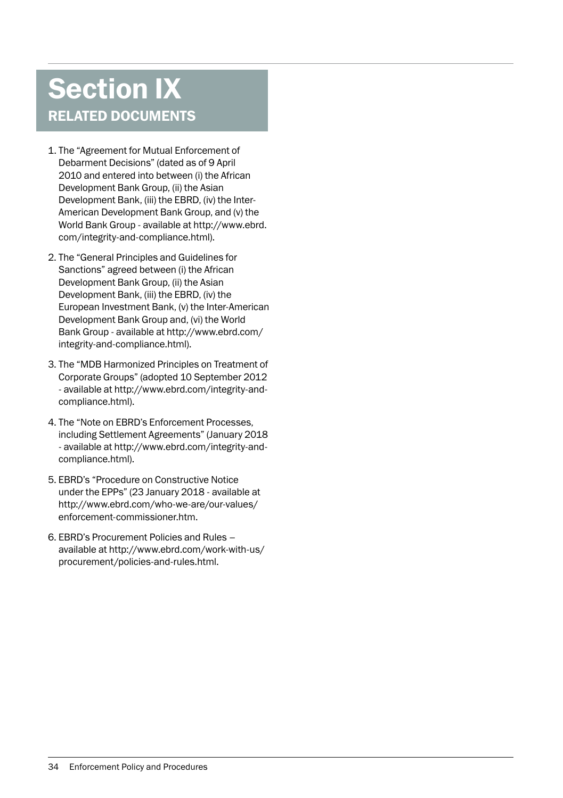# Section IX RELATED DOCUMENTS

- 1. The "Agreement for Mutual Enforcement of Debarment Decisions" (dated as of 9 April 2010 and entered into between (i) the African Development Bank Group, (ii) the Asian Development Bank, (iii) the EBRD, (iv) the Inter-American Development Bank Group, and (v) the World Bank Group - available at http://www.ebrd. com/integrity-and-compliance.html).
- 2. The "General Principles and Guidelines for Sanctions" agreed between (i) the African Development Bank Group, (ii) the Asian Development Bank, (iii) the EBRD, (iv) the European Investment Bank, (v) the Inter-American Development Bank Group and, (vi) the World Bank Group - available at http://www.ebrd.com/ integrity-and-compliance.html).
- 3. The "MDB Harmonized Principles on Treatment of Corporate Groups" (adopted 10 September 2012 - available at http://www.ebrd.com/integrity-andcompliance.html).
- 4. The "Note on EBRD's Enforcement Processes, including Settlement Agreements" (January 2018 - available at http://www.ebrd.com/integrity-andcompliance.html).
- 5. EBRD's "Procedure on Constructive Notice under the EPPs" (23 January 2018 - available at http://www.ebrd.com/who-we-are/our-values/ enforcement-commissioner.htm.
- 6. EBRD's Procurement Policies and Rules available at http://www.ebrd.com/work-with-us/ procurement/policies-and-rules.html.